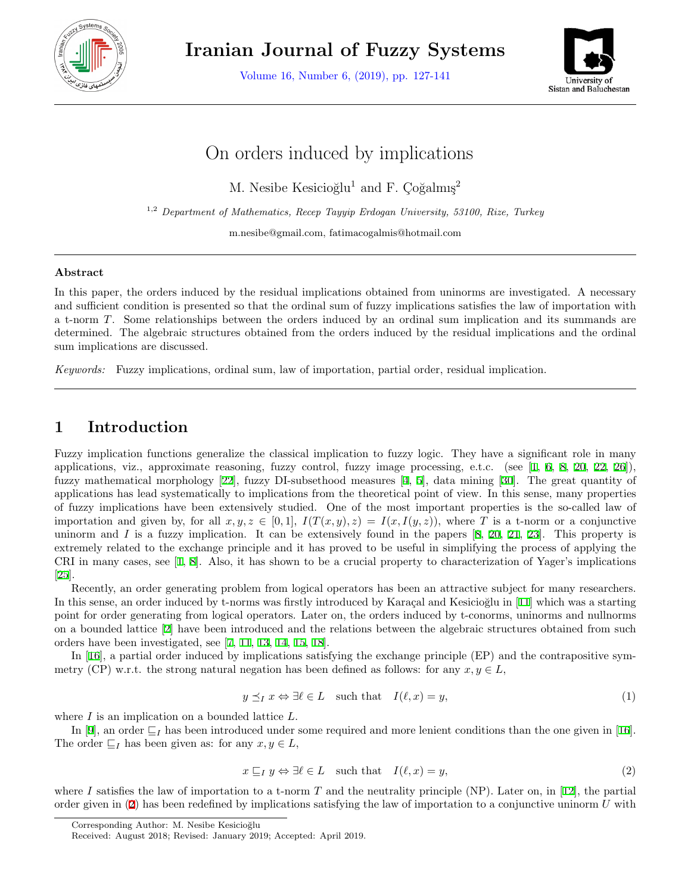

**Iranian Journal of Fuzzy Systems**

Volume 16, Number 6, (2019), pp. 127-141



# On orders induced by implications

M. Nesibe Kesicioğlu<sup>1</sup> and F. Coğalmış<sup>2</sup>

1,2 *Department of Mathematics, Recep Tayyip Erdogan University, 53100, Rize, Turkey*

m.nesibe@gmail.com, fatimacogalmis@hotmail.com

#### **Abstract**

In this paper, the orders induced by the residual implications obtained from uninorms are investigated. A necessary and sufficient condition is presented so that the ordinal sum of fuzzy implications satisfies the law of importation with a t-norm *T*. Some relationships between the orders induced by an ordinal sum implication and its summands are determined. The algebraic structures obtained from the orders induced by the residual implications and the ordinal sum implications are discussed.

*Keywords:* Fuzzy implications, ordinal sum, law of importation, partial order, residual implication.

# **1 Introduction**

Fuzzy implication functions generalize the classical implication to fuzzy logic. They have a significant role in many applications, viz., approximate reasoning, fuzzy control, fuzzy image processing, e.t.c. (see  $[1, 6, 8, 20, 22, 26]$  $[1, 6, 8, 20, 22, 26]$  $[1, 6, 8, 20, 22, 26]$  $[1, 6, 8, 20, 22, 26]$  $[1, 6, 8, 20, 22, 26]$  $[1, 6, 8, 20, 22, 26]$  $[1, 6, 8, 20, 22, 26]$  $[1, 6, 8, 20, 22, 26]$  $[1, 6, 8, 20, 22, 26]$  $[1, 6, 8, 20, 22, 26]$  $[1, 6, 8, 20, 22, 26]$  $[1, 6, 8, 20, 22, 26]$  $[1, 6, 8, 20, 22, 26]$ ), fuzzy mathematical morphology [[22\]](#page-13-4), fuzzy DI-subsethood measures [\[4](#page-13-5), [5](#page-13-6)], data mining [[30\]](#page-14-1). The great quantity of applications has lead systematically to implications from the theoretical point of view. In this sense, many properties of fuzzy implications have been extensively studied. One of the most important properties is the so-called law of importation and given by, for all  $x, y, z \in [0, 1]$ ,  $I(T(x, y), z) = I(x, I(y, z))$ , where *T* is a t-norm or a conjunctive uninorm and *I* is a fuzzy implication. It can be extensively found in the papers [[8](#page-13-2), [20](#page-13-3), [21,](#page-13-7) [23\]](#page-13-8). This property is extremely related to the exchange principle and it has proved to be useful in simplifying the process of applying the CRI in many cases, see  $\lbrack 1, 8 \rbrack$  $\lbrack 1, 8 \rbrack$  $\lbrack 1, 8 \rbrack$ . Also, it has shown to be a crucial property to characterization of Yager's implications [[25\]](#page-14-2).

Recently, an order generating problem from logical operators has been an attractive subject for many researchers. In this sense, an order induced by t-norms was firstly introduced by Karacal and Kesicioğlu in [[11\]](#page-13-9) which was a starting point for order generating from logical operators. Later on, the orders induced by t-conorms, uninorms and nullnorms on a bounded lattice [[2\]](#page-13-10) have been introduced and the relations between the algebraic structures obtained from such orders have been investigated, see [\[7](#page-13-11), [11](#page-13-9), [13,](#page-13-12) [14,](#page-13-13) [15,](#page-13-14) [18\]](#page-13-15).

In [\[16](#page-13-16)], a partial order induced by implications satisfying the exchange principle (EP) and the contrapositive symmetry (CP) w.r.t. the strong natural negation has been defined as follows: for any  $x, y \in L$ ,

$$
y \leq_I x \Leftrightarrow \exists \ell \in L \quad \text{such that} \quad I(\ell, x) = y,\tag{1}
$$

where *I* is an implication on a bounded lattice *L*.

<span id="page-0-0"></span>In [\[9](#page-13-17)], an order *⊑<sup>I</sup>* has been introduced under some required and more lenient conditions than the one given in [[16](#page-13-16)]. The order  $\sqsubseteq_I$  has been given as: for any  $x, y \in L$ ,

$$
x \sqsubseteq_I y \Leftrightarrow \exists \ell \in L \quad \text{such that} \quad I(\ell, x) = y,\tag{2}
$$

where I satisfies the law of importation to a t-norm  $T$  and the neutrality principle (NP). Later on, in [[12\]](#page-13-18), the partial order given in ([2\)](#page-0-0) has been redefined by implications satisfying the law of importation to a conjunctive uninorm *U* with

Corresponding Author: M. Nesibe Kesicioğlu

Received: August 2018; Revised: January 2019; Accepted: April 2019.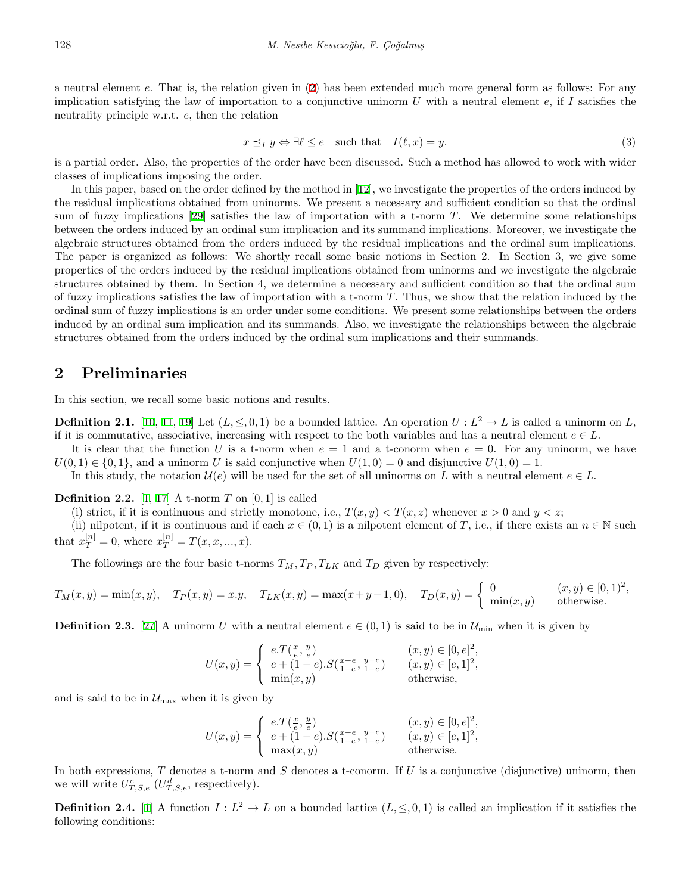a neutral element *e*. That is, the relation given in [\(2](#page-0-0)) has been extended much more general form as follows: For any implication satisfying the law of importation to a conjunctive uninorm *U* with a neutral element *e*, if *I* satisfies the neutrality principle w.r.t. *e*, then the relation

$$
x \preceq_I y \Leftrightarrow \exists \ell \le e \quad \text{such that} \quad I(\ell, x) = y. \tag{3}
$$

is a partial order. Also, the properties of the order have been discussed. Such a method has allowed to work with wider classes of implications imposing the order.

In this paper, based on the order defined by the method in [\[12](#page-13-18)], we investigate the properties of the orders induced by the residual implications obtained from uninorms. We present a necessary and sufficient condition so that the ordinal sum of fuzzy implications [[29\]](#page-14-3) satisfies the law of importation with a t-norm *T*. We determine some relationships between the orders induced by an ordinal sum implication and its summand implications. Moreover, we investigate the algebraic structures obtained from the orders induced by the residual implications and the ordinal sum implications. The paper is organized as follows: We shortly recall some basic notions in Section 2. In Section 3, we give some properties of the orders induced by the residual implications obtained from uninorms and we investigate the algebraic structures obtained by them. In Section 4, we determine a necessary and sufficient condition so that the ordinal sum of fuzzy implications satisfies the law of importation with a t-norm *T*. Thus, we show that the relation induced by the ordinal sum of fuzzy implications is an order under some conditions. We present some relationships between the orders induced by an ordinal sum implication and its summands. Also, we investigate the relationships between the algebraic structures obtained from the orders induced by the ordinal sum implications and their summands.

### **2 Preliminaries**

In this section, we recall some basic notions and results.

**Definition 2.1.** [\[10](#page-13-19), [11](#page-13-9), [19](#page-13-20)] Let  $(L, \leq, 0, 1)$  be a bounded lattice. An operation  $U: L^2 \to L$  is called a uninorm on *L*, if it is commutative, associative, increasing with respect to the both variables and has a neutral element  $e \in L$ .

It is clear that the function *U* is a t-norm when  $e = 1$  and a t-conorm when  $e = 0$ . For any uninorm, we have  $U(0,1) \in \{0,1\}$ , and a uninorm *U* is said conjunctive when  $U(1,0) = 0$  and disjunctive  $U(1,0) = 1$ .

In this study, the notation  $\mathcal{U}(e)$  will be used for the set of all uninorms on *L* with a neutral element  $e \in L$ .

**Definition 2.2.** [\[1](#page-13-0), [17](#page-13-21)] A t-norm  $T$  on [0, 1] is called

(i) strict, if it is continuous and strictly monotone, i.e.,  $T(x, y) < T(x, z)$  whenever  $x > 0$  and  $y < z$ ;

(ii) nilpotent, if it is continuous and if each  $x \in (0,1)$  is a nilpotent element of *T*, i.e., if there exists an  $n \in \mathbb{N}$  such that  $x_T^{[n]} = 0$ , where  $x_T^{[n]} = T(x, x, ..., x)$ .

The followings are the four basic t-norms  $T_M, T_P, T_{LK}$  and  $T_D$  given by respectively:

$$
T_M(x,y) = \min(x,y), \quad T_P(x,y) = x.y, \quad T_{LK}(x,y) = \max(x+y-1,0), \quad T_D(x,y) = \begin{cases} 0 & (x,y) \in [0,1)^2, \\ \min(x,y) & \text{otherwise.} \end{cases}
$$

**Definition 2.3.** [\[27](#page-14-4)] A uninorm *U* with a neutral element  $e \in (0,1)$  is said to be in  $\mathcal{U}_{\min}$  when it is given by

$$
U(x,y) = \begin{cases} e.\mathcal{T}(\frac{x}{e},\frac{y}{e}) & (x,y) \in [0,e]^2, \\ e + (1-e).\mathcal{S}(\frac{x-e}{1-e},\frac{y-e}{1-e}) & (x,y) \in [e,1]^2, \\ \min(x,y) & \text{otherwise,} \end{cases}
$$

and is said to be in  $\mathcal{U}_{\max}$  when it is given by

$$
U(x,y) = \begin{cases} e.T\left(\frac{x}{e},\frac{y}{e}\right) & (x,y) \in [0,e]^2, \\ e+(1-e).S(\frac{x-e}{1-e},\frac{y-e}{1-e}) & (x,y) \in [e,1]^2, \\ \max(x,y) & \text{otherwise.} \end{cases}
$$

In both expressions, *T* denotes a t-norm and *S* denotes a t-conorm. If *U* is a conjunctive (disjunctive) uninorm, then we will write  $U_{T,S,e}^c$  ( $U_{T,S,e}^d$ , respectively).

**Definition 2.4.** [[1\]](#page-13-0) A function  $I: L^2 \to L$  on a bounded lattice  $(L, \leq, 0, 1)$  is called an implication if it satisfies the following conditions: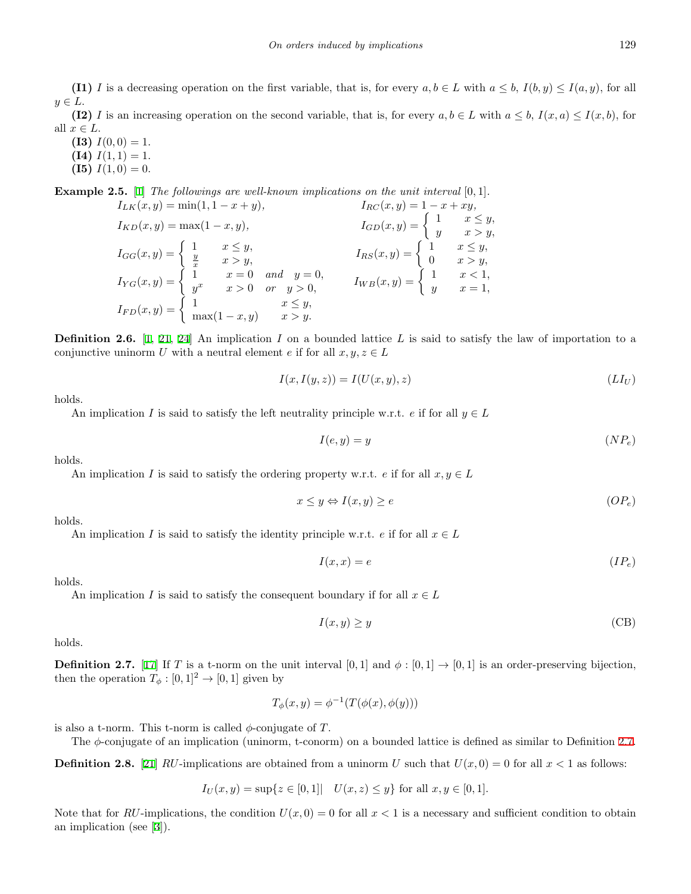**(I1)** *I* is a decreasing operation on the first variable, that is, for every  $a, b \in L$  with  $a \leq b$ ,  $I(b, y) \leq I(a, y)$ , for all *y ∈ L*.

**(I2)** *I* is an increasing operation on the second variable, that is, for every  $a, b \in L$  with  $a \leq b, I(x, a) \leq I(x, b)$ , for all  $x \in L$ .

**(I3)**  $I(0,0) = 1$ . **(I4)**  $I(1, 1) = 1$ .

**(I5)** 
$$
I(1,0) = 0.
$$

**Example 2.5.** [\[1](#page-13-0)] *The followings are well-known implications on the unit interval* [0*,* 1]*.*  $I_{LK}(x, y) = \min(1, 1 - x + y),$   $I_{RC}(x, y) = 1 - x + xy,$ 

 $I_{KD}(x, y) = \max(1 - x, y),$   $I_{GD}(x, y) = \begin{cases} 1 & x \leq y, \\ y & x > y. \end{cases}$ *y x > y,*  $I_{GG}(x, y) = \begin{cases} 1 & x \leq y, \\ \frac{y}{x} & x > y, \end{cases}$   $I_{RS}(x, y) = \begin{cases} 1 & x \leq y, \\ 0 & x > y, \end{cases}$ 0  $x > y$ ,  $I_{YG}(x, y) = \begin{cases} 1 & x = 0 \text{ and } y = 0, \\ x^x & x > 0 \text{ or } x > 0, \end{cases}$  $y^x$  *x* = 0 *and y* = 0*, IWB*(*x, y*) = {
1 *x* < 1*, y<sup>x</sup> x* > 0 *or y* > 0*, IWB*(*x, y*) = {
*y x* = 1*,*  $y \qquad x=1,$  $I_{FD}(x, y) = \begin{cases} 1 & x \leq y, \\ mx(1, x, y) & x > y. \end{cases}$  $\max(1-x,y)$  *x > y*.

<span id="page-2-1"></span>**Definition 2.6.** [[1,](#page-13-0) [21,](#page-13-7) [24\]](#page-13-22) An implication *I* on a bounded lattice *L* is said to satisfy the law of importation to a conjunctive uninorm *U* with a neutral element *e* if for all  $x, y, z \in L$ 

$$
I(x, I(y, z)) = I(U(x, y), z)
$$
\n
$$
(LI_U)
$$

holds.

An implication *I* is said to satisfy the left neutrality principle w.r.t. *e* if for all  $y \in L$ 

$$
I(e, y) = y \tag{NP_e}
$$

holds.

An implication *I* is said to satisfy the ordering property w.r.t. *e* if for all  $x, y \in L$ 

$$
x \le y \Leftrightarrow I(x, y) \ge e \tag{OP_e}
$$

holds.

An implication *I* is said to satisfy the identity principle w.r.t. *e* if for all  $x \in L$ 

$$
I(x,x) = e \tag{IP_e}
$$

holds.

An implication *I* is said to satisfy the consequent boundary if for all  $x \in L$ 

$$
I(x, y) \ge y \tag{CB}
$$

holds.

<span id="page-2-0"></span>**Definition 2.7.** [[17\]](#page-13-21) If *T* is a t-norm on the unit interval [0, 1] and  $\phi : [0,1] \rightarrow [0,1]$  is an order-preserving bijection, then the operation  $T_{\phi} : [0,1]^2 \to [0,1]$  given by

$$
T_{\phi}(x, y) = \phi^{-1}(T(\phi(x), \phi(y)))
$$

is also a t-norm. This t-norm is called  $\phi$ -conjugate of *T*.

The *ϕ*-conjugate of an implication (uninorm, t-conorm) on a bounded lattice is defined as similar to Definition [2.7](#page-2-0).

**Definition 2.8.** [\[21](#page-13-7)] *RU*-implications are obtained from a uninorm *U* such that  $U(x, 0) = 0$  for all  $x < 1$  as follows:

$$
I_U(x, y) = \sup\{z \in [0, 1] | U(x, z) \le y\}
$$
 for all  $x, y \in [0, 1]$ .

<span id="page-2-2"></span>Note that for *RU*-implications, the condition  $U(x, 0) = 0$  for all  $x < 1$  is a necessary and sufficient condition to obtain an implication (see [[3\]](#page-13-23)).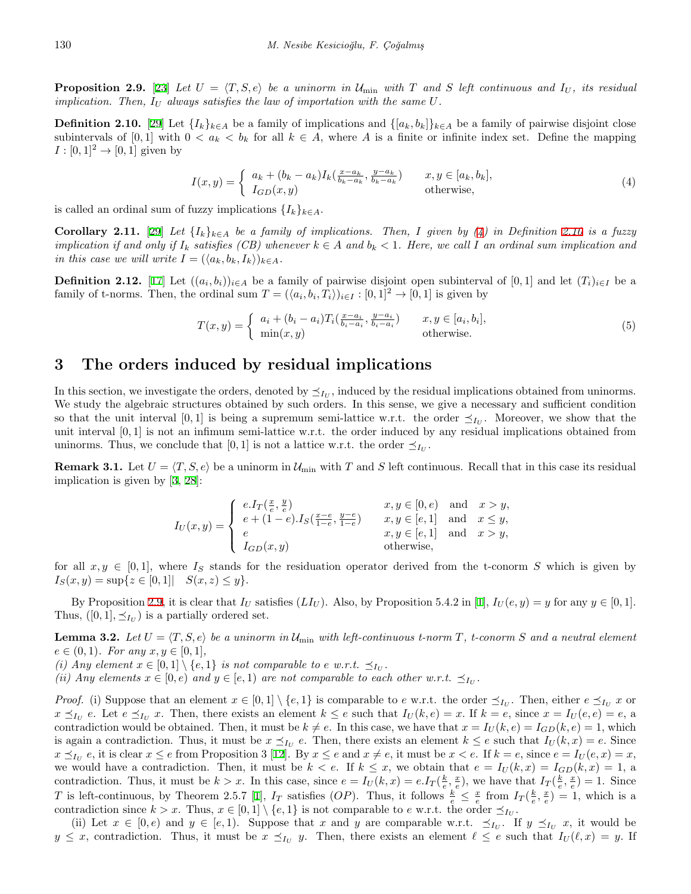**Proposition 2.9.** [[23\]](#page-13-8) Let  $U = \langle T, S, e \rangle$  be a uninorm in  $U_{\min}$  with  $T$  and  $S$  left continuous and  $I_U$ , its residual *implication. Then,*  $I_U$  *always satisfies the law of importation with the same*  $U$ *.* 

<span id="page-3-0"></span>**Definition 2.10.** [\[29](#page-14-3)] Let  $\{I_k\}_{k\in A}$  be a family of implications and  $\{[a_k, b_k]\}_{k\in A}$  be a family of pairwise disjoint close subintervals of [0, 1] with  $0 < a_k < b_k$  for all  $k \in A$ , where A is a finite or infinite index set. Define the mapping  $I : [0,1]^2 \rightarrow [0,1]$  given by

$$
I(x,y) = \begin{cases} a_k + (b_k - a_k)I_k(\frac{x - a_k}{b_k - a_k}, \frac{y - a_k}{b_k - a_k}) & x, y \in [a_k, b_k], \\ I_{GD}(x,y) & \text{otherwise,} \end{cases}
$$
(4)

is called an ordinal sum of fuzzy implications  $\{I_k\}_{k \in A}$ .

**Corollary 2.11.** [[29\]](#page-14-3) Let  $\{I_k\}_{k\in A}$  be a family of implications. Then, I given by [\(4](#page-2-1)) in Definition [2.10](#page-3-0) is a fuzzy *implication if and only if*  $I_k$  *satisfies (CB) whenever*  $k \in A$  *and*  $b_k < 1$ *. Here, we call I an ordinal sum implication and in this case we will write*  $I = (\langle a_k, b_k, I_k \rangle)_{k \in A}$ *.* 

<span id="page-3-3"></span>**Definition 2.12.** [[17\]](#page-13-21) Let  $((a_i, b_i))_{i \in A}$  be a family of pairwise disjoint open subinterval of [0, 1] and let  $(T_i)_{i \in I}$  be a family of t-norms. Then, the ordinal sum  $T = (\langle a_i, b_i, T_i \rangle)_{i \in I} : [0, 1]^2 \to [0, 1]$  is given by

$$
T(x,y) = \begin{cases} a_i + (b_i - a_i)T_i(\frac{x-a_i}{b_i - a_i}, \frac{y-a_i}{b_i - a_i}) & x, y \in [a_i, b_i], \\ \min(x, y) & \text{otherwise.} \end{cases}
$$
(5)

#### **3 The orders induced by residual implications**

In this section, we investigate the orders, denoted by  $\preceq_{I_U}$ , induced by the residual implications obtained from uninorms. We study the algebraic structures obtained by such orders. In this sense, we give a necessary and sufficient condition so that the unit interval [0, 1] is being a supremum semi-lattice w.r.t. the order  $\preceq_{I_U}$ . Moreover, we show that the unit interval [0*,* 1] is not an infimum semi-lattice w.r.t. the order induced by any residual implications obtained from uninorms. Thus, we conclude that [0, 1] is not a lattice w.r.t. the order  $\preceq_{I_U}$ .

<span id="page-3-2"></span>**Remark 3.1.** Let  $U = \langle T, S, e \rangle$  be a uninorm in  $\mathcal{U}_{\text{min}}$  with *T* and *S* left continuous. Recall that in this case its residual implication is given by [[3,](#page-13-23) [28\]](#page-14-5):

$$
I_U(x,y) = \begin{cases} e.I_T(\frac{x}{e}, \frac{y}{e}) & x, y \in [0, e) \text{ and } x > y, \\ e + (1-e).I_S(\frac{x-e}{1-e}, \frac{y-e}{1-e}) & x, y \in [e, 1] \text{ and } x \le y, \\ e & x, y \in [e, 1] \text{ and } x > y, \\ I_{GD}(x,y) & \text{otherwise,} \end{cases}
$$

for all  $x, y \in [0, 1]$ , where  $I_S$  stands for the residuation operator derived from the t-conorm *S* which is given by  $I_S(x, y) = \sup\{z \in [0, 1] | S(x, z) \leq y\}.$ 

By Proposition [2.9,](#page-2-2) it is clear that  $I_U$  satisfies  $(LI_U)$ . Also, by Proposition 5.4.2 in [[1](#page-13-0)],  $I_U(e, y) = y$  for any  $y \in [0, 1]$ . Thus,  $([0, 1], \preceq_{I_U})$  is a partially ordered set.

<span id="page-3-1"></span>**Lemma 3.2.** Let  $U = \langle T, S, e \rangle$  be a uninorm in  $\mathcal{U}_{\text{min}}$  with left-continuous t-norm  $T$ , t-conorm  $S$  and a neutral element  $e \in (0,1)$ *. For any*  $x, y \in [0,1]$ *,* 

*(i) Any element*  $x \in [0,1] \setminus \{e,1\}$  *is not comparable to e w.r.t.*  $\preceq_{I_U}$ .

*(ii) Any elements*  $x \in [0, e)$  *and*  $y \in [e, 1)$  *are not comparable to each other w.r.t.*  $\preceq_{I_U}$ .

*Proof.* (i) Suppose that an element  $x \in [0,1] \setminus \{e,1\}$  is comparable to e w.r.t. the order  $\preceq_{I_U}$ . Then, either  $e \preceq_{I_U} x$  or  $x \leq_{I_U} e$ . Let  $e \leq_{I_U} x$ . Then, there exists an element  $k \leq e$  such that  $I_U(k, e) = x$ . If  $k = e$ , since  $x = I_U(e, e) = e$ , a contradiction would be obtained. Then, it must be  $k \neq e$ . In this case, we have that  $x = I_U(k, e) = I_{GD}(k, e) = 1$ , which is again a contradiction. Thus, it must be  $x \leq_{I_U} e$ . Then, there exists an element  $k \leq e$  such that  $I_U(k, x) = e$ . Since  $x \leq_{I_U} e$ , it is clear  $x \leq e$  from Proposition 3 [\[12](#page-13-18)]. By  $x \leq e$  and  $x \neq e$ , it must be  $x < e$ . If  $k = e$ , since  $e = I_U(e, x) = x$ , we would have a contradiction. Then, it must be  $k < e$ . If  $k \leq x$ , we obtain that  $e = I_U(k, x) = I_{GD}(k, x) = 1$ , a contradiction. Thus, it must be  $k > x$ . In this case, since  $e = I_U(k, x) = e \cdot I_T(\frac{k}{e}, \frac{x}{e})$ , we have that  $I_T(\frac{k}{e}, \frac{x}{e}) = 1$ . Since T is left-continuous, by Theorem 2.5.7 [\[1](#page-13-0)],  $I_T$  satisfies (OP). Thus, it follows  $\frac{k}{e} \leq \frac{x}{e}$  from  $I_T(\frac{k}{e}, \frac{x}{e}) = 1$ , which is a contradiction since  $k > x$ . Thus,  $x \in [0,1] \setminus \{e,1\}$  is not comparable to  $e$  w.r.t. the order  $\preceq_{I_U}$ .

(ii) Let  $x \in [0, e)$  and  $y \in [e, 1)$ . Suppose that  $x$  and  $y$  are comparable w.r.t.  $\preceq_{I_U}$ . If  $y \preceq_{I_U} x$ , it would be  $y \leq x$ , contradiction. Thus, it must be  $x \leq I_U$  *y*. Then, there exists an element  $\ell \leq e$  such that  $I_U(\ell, x) = y$ . If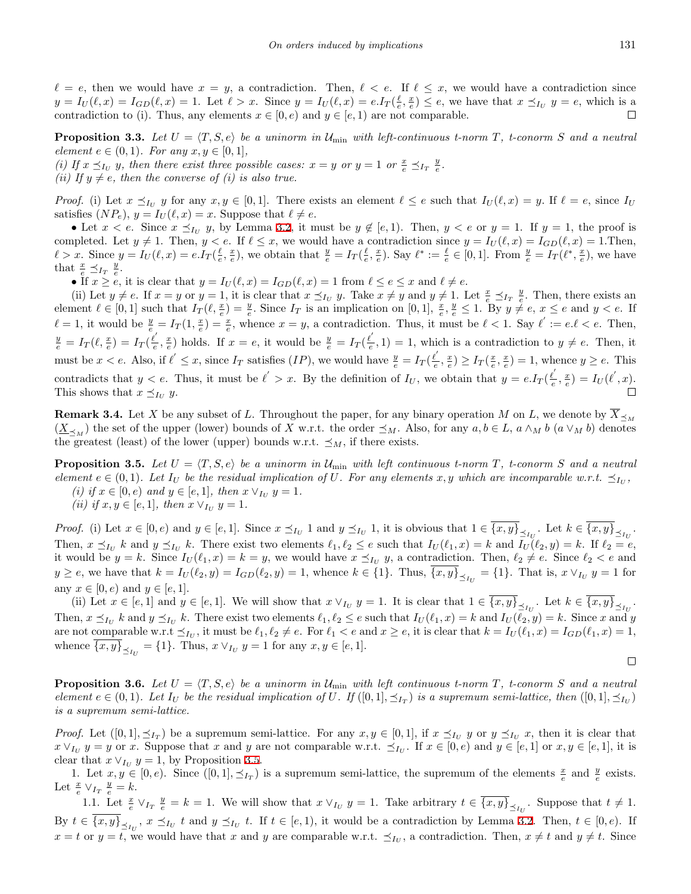$\ell = e$ , then we would have  $x = y$ , a contradiction. Then,  $\ell < e$ . If  $\ell \leq x$ , we would have a contradiction since  $y = I_U(\ell, x) = I_{GD}(\ell, x) = 1$ . Let  $\ell > x$ . Since  $y = I_U(\ell, x) = e \cdot I_T(\frac{\ell}{e}, \frac{x}{e}) \le e$ , we have that  $x \preceq_{I_U} y = e$ , which is a contradiction to (i). Thus, any elements  $x \in [0, e)$  and  $y \in [e, 1)$  are not comparable.  $\Box$ 

<span id="page-4-1"></span>**Proposition 3.3.** Let  $U = \langle T, S, e \rangle$  be a uninorm in  $\mathcal{U}_{\text{min}}$  with left-continuous t-norm  $T$ , t-conorm  $S$  and a neutral  $element e \in (0,1)$ *. For any*  $x, y \in [0,1]$ *,* 

(i) If  $x \leq_{I_U} y$ , then there exist three possible cases:  $x = y$  or  $y = 1$  or  $\frac{x}{e} \leq_{I_T} \frac{y}{e}$ .

*(ii)* If  $y \neq e$ *, then the converse of (i) is also true.* 

*Proof.* (i) Let  $x \leq_{I_U} y$  for any  $x, y \in [0,1]$ . There exists an element  $\ell \leq e$  such that  $I_U(\ell, x) = y$ . If  $\ell = e$ , since  $I_U$ satisfies  $(NP_e)$ ,  $y = I_U(\ell, x) = x$ . Suppose that  $\ell \neq e$ .

• Let  $x < e$ . Since  $x \leq_{I_U} y$ , by Lemma [3.2,](#page-3-1) it must be  $y \notin [e, 1)$ . Then,  $y < e$  or  $y = 1$ . If  $y = 1$ , the proof is completed. Let  $y \neq 1$ . Then,  $y < e$ . If  $\ell \leq x$ , we would have a contradiction since  $y = I_U(\ell, x) = I_{GD}(\ell, x) = 1$ . Then,  $\ell > x$ . Since  $y = I_U(\ell, x) = e \cdot I_T(\frac{\ell}{e}, \frac{x}{e})$ , we obtain that  $\frac{y}{e} = I_T(\frac{\ell}{e}, \frac{x}{e})$ . Say  $\ell^* := \frac{\ell}{e} \in [0, 1]$ . From  $\frac{y}{e} = I_T(\ell^*, \frac{x}{e})$ , we have that  $\frac{x}{e} \preceq_{I_T} \frac{y}{e}$ .

• If  $x \ge e$ , it is clear that  $y = I_U(\ell, x) = I_{GD}(\ell, x) = 1$  from  $\ell \le e \le x$  and  $\ell \ne e$ .

(ii) Let  $y \neq e$ . If  $x = y$  or  $y = 1$ , it is clear that  $x \preceq_{I_U} y$ . Take  $x \neq y$  and  $y \neq 1$ . Let  $\frac{x}{e} \preceq_{I_T} \frac{y}{e}$ . Then, there exists an element  $\ell \in [0,1]$  such that  $I_T(\ell, \frac{x}{e}) = \frac{y}{e}$ . Since  $I_T$  is an implication on  $[0,1]$ ,  $\frac{x}{e}, \frac{y}{e} \leq 1$ . By  $y \neq e, x \leq e$  and  $y < e$ . If  $\ell = 1$ , it would be  $\frac{y}{e} = I_T(1, \frac{x}{e}) = \frac{x}{e}$ , whence  $x = y$ , a contradiction. Thus, it must be  $\ell < 1$ . Say  $\ell' := e \ell < e$ . Then,  $\frac{y}{e} = I_T(\ell, \frac{x}{e}) = I_T(\frac{\ell^{'}}{e})$  $\frac{e}{e}$ ,  $\frac{x}{e}$ ) holds. If  $x = e$ , it would be  $\frac{y}{e} = I_T(\frac{e}{e})$  $\frac{\ell}{e}$ , 1) = 1, which is a contradiction to *y*  $\neq$  *e*. Then, it must be  $x < e$ . Also, if  $\ell' \leq x$ , since  $I_T$  satisfies  $(IP)$ , we would have  $\frac{y}{e} = I_T(\frac{\ell'}{e})$  $\frac{\ell}{e}, \frac{x}{e}$ )  $\geq I_T(\frac{x}{e}, \frac{x}{e}) = 1$ , whence  $y \geq e$ . This contradicts that  $y < e$ . Thus, it must be  $\ell' > x$ . By the definition of  $I_U$ , we obtain that  $y = e.I_T(\frac{\ell'}{e})$  $(\frac{\ell}{e}, \frac{x}{e}) = I_U(\ell', x).$ This shows that  $x \leq I_U$  *y*.

**Remark 3.4.** Let *X* be any subset of *L*. Throughout the paper, for any binary operation *M* on *L*, we denote by  $\overline{X}_{\leq_M}$  $(\underline{X}_{\leq M})$  the set of the upper (lower) bounds of X w.r.t. the order  $\leq_M$ . Also, for any  $a, b \in L$ ,  $a \wedge_M b$  ( $a \vee_M b$ ) denotes the greatest (least) of the lower (upper) bounds w.r.t.  $\preceq_M$ , if there exists.

<span id="page-4-0"></span>**Proposition 3.5.** Let  $U = \langle T, S, e \rangle$  be a uninorm in  $\mathcal{U}_{\text{min}}$  with left continuous t-norm  $T$ , t-conorm  $S$  and a neutral element  $e \in (0,1)$ . Let  $I_U$  be the residual implication of U. For any elements x, y which are incomparable w.r.t.  $\preceq_{I_U}$ , *(i) if*  $x \in [0, e)$  *and*  $y \in [e, 1]$ *, then*  $x \vee_{I_U} y = 1$ *.* 

*(ii) if*  $x, y \in [e, 1]$ *, then*  $x \vee_{I_U} y = 1$ *.* 

*Proof.* (i) Let  $x \in [0, e)$  and  $y \in [e, 1]$ . Since  $x \preceq_{I_U} 1$  and  $y \preceq_{I_U} 1$ , it is obvious that  $1 \in \{x, y\}_{\preceq_{I_U}}$ . Let  $k \in \{x, y\}_{\preceq_{I_U}}$ . Then,  $x \leq_{I_U} k$  and  $y \leq_{I_U} k$ . There exist two elements  $\ell_1, \ell_2 \leq e$  such that  $I_U(\ell_1, x) = k$  and  $I_U(\ell_2, y) = k$ . If  $\ell_2 = e$ , it would be  $y = k$ . Since  $I_U(\ell_1, x) = k = y$ , we would have  $x \leq_{I_U} y$ , a contradiction. Then,  $\ell_2 \neq e$ . Since  $\ell_2 < e$  and  $y \ge e$ , we have that  $k = I_U(\ell_2, y) = I_{GD}(\ell_2, y) = 1$ , whence  $k \in \{1\}$ . Thus,  $\{x, y\}_{\preceq_{I_U}} = \{1\}$ . That is,  $x \vee_{I_U} y = 1$  for any  $x \in [0, e)$  and  $y \in [e, 1]$ .

(ii) Let  $x \in [e,1]$  and  $y \in [e,1]$ . We will show that  $x \vee_{I_U} y = 1$ . It is clear that  $1 \in \{x,y\}_{\preceq_{I_U}}$ . Let  $k \in \{x,y\}_{\preceq_{I_U}}$ . Then,  $x \leq_{I_U} k$  and  $y \leq_{I_U} k$ . There exist two elements  $\ell_1, \ell_2 \leq e$  such that  $I_U(\ell_1, x) = k$  and  $I_U(\ell_2, y) = k$ . Since x and y are not comparable w.r.t  $\preceq_{I_U}$ , it must be  $\ell_1, \ell_2 \neq e$ . For  $\ell_1 < e$  and  $x \geq e$ , it is clear that  $k = I_U(\ell_1, x) = I_{GD}(\ell_1, x) = 1$ , whence  $\{x, y\}_{\leq I_U} = \{1\}$ . Thus,  $x \vee_{I_U} y = 1$  for any  $x, y \in [e, 1]$ .

$$
\Box
$$

<span id="page-4-2"></span>**Proposition 3.6.** Let  $U = \langle T, S, e \rangle$  be a uninorm in  $\mathcal{U}_{\text{min}}$  with left continuous t-norm  $T$ , t-conorm  $S$  and a neutral element  $e \in (0,1)$ . Let  $I_U$  be the residual implication of U. If  $([0,1], \preceq_{I_T})$  is a supremum semi-lattice, then  $([0,1], \preceq_{I_U})$ *is a supremum semi-lattice.*

*Proof.* Let  $([0,1], \preceq_{I_T})$  be a supremum semi-lattice. For any  $x, y \in [0,1]$ , if  $x \preceq_{I_U} y$  or  $y \preceq_{I_U} x$ , then it is clear that  $x \vee_{I_U} y = y$  or x. Suppose that x and y are not comparable w.r.t.  $\preceq_{I_U}$ . If  $x \in [0, e)$  and  $y \in [e, 1]$  or  $x, y \in [e, 1]$ , it is clear that  $x \vee_{I_U} y = 1$ , by Proposition [3.5.](#page-4-0)

1. Let  $x, y \in [0, e)$ . Since  $([0, 1], \preceq_{I_T})$  is a supremum semi-lattice, the supremum of the elements  $\frac{x}{e}$  and  $\frac{y}{e}$  exists. Let  $\frac{x}{e} \vee_{I_T} \frac{y}{e} = k$ .

1.1. Let  $\frac{x}{e} \vee_{I_T} \frac{y}{e} = k = 1$ . We will show that  $x \vee_{I_U} y = 1$ . Take arbitrary  $t \in \overline{\{x, y\}}_{\leq_{I_U}}$ . Suppose that  $t \neq 1$ . By  $t \in \{x, y\}_{\preceq_{I_U}}$ ,  $x \preceq_{I_U} t$  and  $y \preceq_{I_U} t$ . If  $t \in [e, 1)$ , it would be a contradiction by Lemma [3.2](#page-3-1). Then,  $t \in [0, e)$ . If  $x = t$  or  $y = t$ , we would have that *x* and *y* are comparable w.r.t.  $\leq_{I_U}$ , a contradiction. Then,  $x \neq t$  and  $y \neq t$ . Since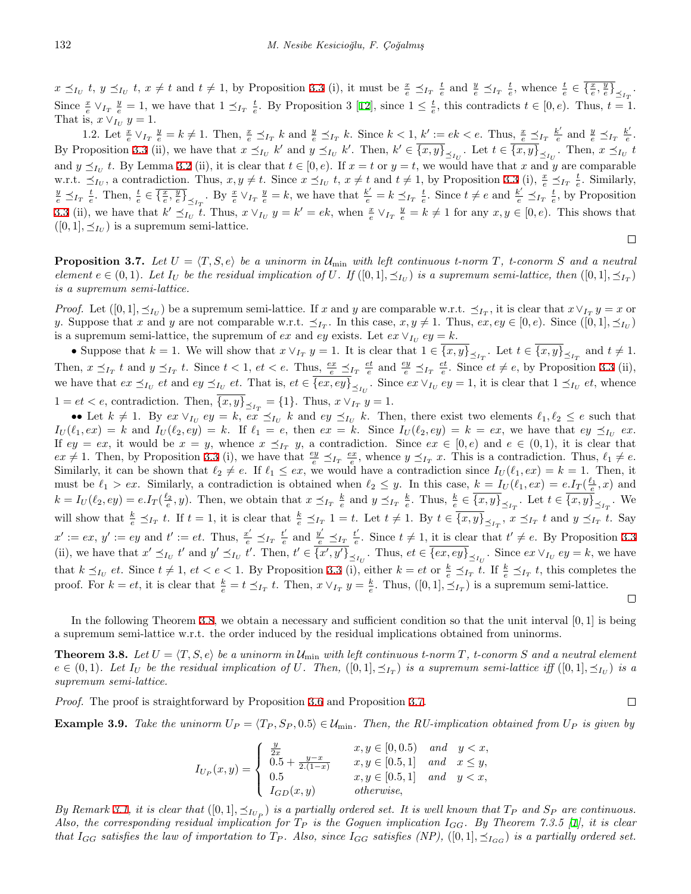$x \preceq_{I_U} t$ ,  $y \preceq_{I_U} t$ ,  $x \neq t$  and  $t \neq 1$ , by Proposition [3.3](#page-4-1) (i), it must be  $\frac{x}{e} \preceq_{I_T} \frac{t}{e}$  and  $\frac{y}{e} \preceq_{I_T} \frac{t}{e}$ , whence  $\frac{t}{e} \in \overline{\{\frac{x}{e}, \frac{y}{e}\}}_{\preceq_{I_T}}$ . Since  $\frac{x}{e} \vee_{I_T} \frac{y}{e} = 1$ , we have that  $1 \leq_{I_T} \frac{t}{e}$ . By Proposition 3 [\[12](#page-13-18)], since  $1 \leq \frac{t}{e}$ , this contradicts  $t \in [0, e)$ . Thus,  $t = 1$ . That is,  $x \vee_{I_U} y = 1$ .

1.2. Let  $\frac{x}{e} \vee_{I_T} \frac{y}{e} = k \neq 1$ . Then,  $\frac{x}{e} \preceq_{I_T} k$  and  $\frac{y}{e} \preceq_{I_T} k$ . Since  $k < 1$ ,  $k' := ek < e$ . Thus,  $\frac{x}{e} \preceq_{I_T} \frac{k'}{e}$  and  $\frac{y}{e} \preceq_{I_T} \frac{k'}{e}$ . By Proposition [3.3](#page-4-1) (ii), we have that  $x \preceq_{I_U} k'$  and  $y \preceq_{I_U} k'$ . Then,  $k' \in \{x, y\}_{\preceq_{I_U}}$ . Let  $t \in \{x, y\}_{\preceq_{I_U}}$ . Then,  $x \preceq_{I_U} t$ and  $y \leq_{I_U} t$ . By Lemma [3.2](#page-3-1) (ii), it is clear that  $t \in [0, e)$ . If  $x = t$  or  $y = t$ , we would have that  $x$  and  $y$  are comparable w.r.t.  $\preceq_{I_U}$ , a contradiction. Thus,  $x, y \neq t$ . Since  $x \preceq_{I_U} t$ ,  $x \neq t$  and  $t \neq 1$ , by Proposition [3.3](#page-4-1) (i),  $\frac{x}{e} \preceq_{I_T} \frac{t}{e}$ . Similarly,  $\frac{y}{e} \preceq_{I_T} \frac{t}{e}$ . Then,  $\frac{t}{e} \in \overline{\{\frac{x}{e}, \frac{y}{e}\}}_{\leq_{I_T}}$ . By  $\frac{x}{e} \vee_{I_T} \frac{y}{e} = k$ , we have that  $\frac{k'}{e} = k \preceq_{I_T} \frac{t}{e}$ . Since  $t \neq e$  and  $\frac{k'}{e} \preceq_{I_T} \frac{t}{e}$ , by Proposition [3.3](#page-4-1) (ii), we have that  $k' \preceq_{I_U} t$ . Thus,  $x \vee_{I_U} y = k' = ek$ , when  $\frac{x}{e} \vee_{I_T} \frac{y}{e} = k \neq 1$  for any  $x, y \in [0, e)$ . This shows that  $([0, 1], \preceq_{I_U})$  is a supremum semi-lattice.

<span id="page-5-1"></span>**Proposition 3.7.** Let  $U = \langle T, S, e \rangle$  be a uninorm in  $\mathcal{U}_{\text{min}}$  with left continuous t-norm  $T$ , t-conorm  $S$  and a neutral element  $e \in (0,1)$ . Let  $I_U$  be the residual implication of U. If  $([0,1], \preceq_{I_U})$  is a supremum semi-lattice, then  $([0,1], \preceq_{I_T})$ *is a supremum semi-lattice.*

*Proof.* Let  $([0,1], \preceq_{I_U})$  be a supremum semi-lattice. If x and y are comparable w.r.t.  $\preceq_{I_T}$ , it is clear that  $x \vee_{I_T} y = x$  or y. Suppose that x and y are not comparable w.r.t.  $\preceq_{I_T}$ . In this case,  $x, y \neq 1$ . Thus,  $ex, ey \in [0, e)$ . Since  $([0, 1], \preceq_{I_U})$ is a supremum semi-lattice, the supremum of *ex* and *ey* exists. Let  $ex \vee_{I_U} ey = k$ .

• Suppose that  $k = 1$ . We will show that  $x \vee_{I_T} y = 1$ . It is clear that  $1 \in \{x, y\}_{\preceq_{I_T}}$ . Let  $t \in \{x, y\}_{\preceq_{I_T}}$  and  $t \neq 1$ . Then,  $x \preceq_{I_T} t$  and  $y \preceq_{I_T} t$ . Since  $t < 1$ ,  $et < e$ . Thus,  $\frac{ex}{e} \preceq_{I_T} \frac{et}{e}$  and  $\frac{ey}{e} \preceq_{I_T} \frac{et}{e}$ . Since  $et \neq e$ , by Proposition [3.3](#page-4-1) (ii), we have that  $ex \preceq_{I_U} et$  and  $ey \preceq_{I_U} et$ . That is,  $et \in \{ex, ey\}_{\preceq_{I_U}}$ . Since  $ex \vee_{I_U} ey = 1$ , it is clear that  $1 \preceq_{I_U} et$ , whence  $1 = et < e$ , contradiction. Then,  $\{x, y\}_{\preceq I_T} = \{1\}$ . Thus,  $x \vee_{I_T} y = 1$ .

•• Let  $k \neq 1$ . By  $ex \vee_{I_U} ey = k$ ,  $ex \preceq_{I_U} k$  and  $ey \preceq_{I_U} k$ . Then, there exist two elements  $\ell_1, \ell_2 \leq e$  such that  $I_U(\ell_1, ex) = k$  and  $I_U(\ell_2, ey) = k$ . If  $\ell_1 = e$ , then  $ex = k$ . Since  $I_U(\ell_2, ey) = k = ex$ , we have that  $ey \preceq_{I_U} ex$ . If  $ey = ex$ , it would be  $x = y$ , whence  $x \preceq_{I_T} y$ , a contradiction. Since  $ex \in [0, e)$  and  $e \in (0, 1)$ , it is clear that  $ex \neq 1$ . Then, by Proposition [3.3](#page-4-1) (i), we have that  $\frac{ey}{e} \leq_{I_T} \frac{ex}{e}$ , whence  $y \leq_{I_T} x$ . This is a contradiction. Thus,  $\ell_1 \neq e$ . Similarly, it can be shown that  $\ell_2 \neq e$ . If  $\ell_1 \leq e_x$ , we would have a contradiction since  $I_U(\ell_1, ex) = k = 1$ . Then, it must be  $\ell_1 > ex$ . Similarly, a contradiction is obtained when  $\ell_2 \leq y$ . In this case,  $k = I_U(\ell_1, ex) = e.I_T(\frac{\ell_1}{e}, x)$  and  $k = I_U(\ell_2, ey) = e.I_T(\frac{\ell_2}{e}, y)$ . Then, we obtain that  $x \preceq_{I_T} \frac{k}{e}$  and  $y \preceq_{I_T} \frac{k}{e}$ . Thus,  $\frac{k}{e} \in \overline{\{x, y\}}_{\preceq_{I_T}}$ . Let  $t \in \overline{\{x, y\}}_{\preceq_{I_T}}$ . We will show that  $\frac{k}{e} \leq_{I_T} t$ . If  $t = 1$ , it is clear that  $\frac{k}{e} \leq_{I_T} 1 = t$ . Let  $t \neq 1$ . By  $t \in \overline{\{x, y\}}_{\leq_{I_T}}$ ,  $x \leq_{I_T} t$  and  $y \leq_{I_T} t$ . Say  $x' := ex, y' := ey$  and  $t' := et$ . Thus,  $\frac{x'}{e} \preceq_{I_T} \frac{t'}{e}$  and  $\frac{y'}{e} \preceq_{I_T} \frac{t'}{e}$ . Since  $t \neq 1$ , it is clear that  $t' \neq e$ . By Proposition [3.3](#page-4-1) (ii), we have that  $x' \preceq_{I_U} t'$  and  $y' \preceq_{I_U} t'$ . Then,  $t' \in \{x', y'\}_{\preceq_{I_U}}$ . Thus,  $et \in \{ex, ey\}_{\preceq_{I_U}}$ . Since  $ex \vee_{I_U} ey = k$ , we have that  $k \leq_{I_U} et$ . Since  $t \neq 1$ ,  $et < e < 1$ . By Proposition [3.3](#page-4-1) (i), either  $k = et$  or  $\frac{k}{e} \leq_{I_T} t$ . If  $\frac{k}{e} \leq_{I_T} t$ , this completes the proof. For  $k = et$ , it is clear that  $\frac{k}{e} = t \leq_{I_T} t$ . Then,  $x \vee_{I_T} y = \frac{k}{e}$ . Thus,  $([0, 1], \leq_{I_T})$  is a supremum semi-lattice.  $\Box$ 

In the following Theorem [3.8,](#page-5-0) we obtain a necessary and sufficient condition so that the unit interval [0, 1] is being a supremum semi-lattice w.r.t. the order induced by the residual implications obtained from uninorms.

<span id="page-5-0"></span>**Theorem 3.8.** Let  $U = \langle T, S, e \rangle$  be a uninorm in  $\mathcal{U}_{\text{min}}$  with left continuous t-norm  $T$ , t-conorm  $S$  and a neutral element  $e\in(0,1)$ . Let  $I_U$  be the residual implication of U. Then,  $([0,1], \preceq_{I_T})$  is a supremum semi-lattice iff  $([0,1], \preceq_{I_U})$  is a *supremum semi-lattice.*

*Proof.* The proof is straightforward by Proposition [3.6](#page-4-2) and Proposition [3.7](#page-5-1).

<span id="page-5-2"></span>**Example 3.9.** *Take the uninorm*  $U_P = \langle T_P, S_P, 0.5 \rangle \in \mathcal{U}_{\text{min}}$ *. Then, the RU-implication obtained from*  $U_P$  *is given by* 

$$
I_{U_P}(x,y) = \begin{cases} \frac{y}{2x} & x, y \in [0,0.5) \text{ and } y < x, \\ 0.5 + \frac{y-x}{2.(1-x)} & x, y \in [0.5,1] \text{ and } x \leq y, \\ 0.5 & x, y \in [0.5,1] \text{ and } y < x, \\ I_{GD}(x,y) & otherwise, \end{cases}
$$

By Remark [3.1](#page-3-2), it is clear that  $([0,1], \preceq_{I_{U_P}})$  is a partially ordered set. It is well known that  $T_P$  and  $S_P$  are continuous. *Also, the corresponding residual implication for T<sup>P</sup> is the Goguen implication IGG. By Theorem 7.3.5 [\[1\]](#page-13-0), it is clear* that  $I_{GG}$  satisfies the law of importation to  $T_P$ . Also, since  $I_{GG}$  satisfies (NP), ([0,1],  $\preceq_{I_{GG}}$ ) is a partially ordered set.

 $\Box$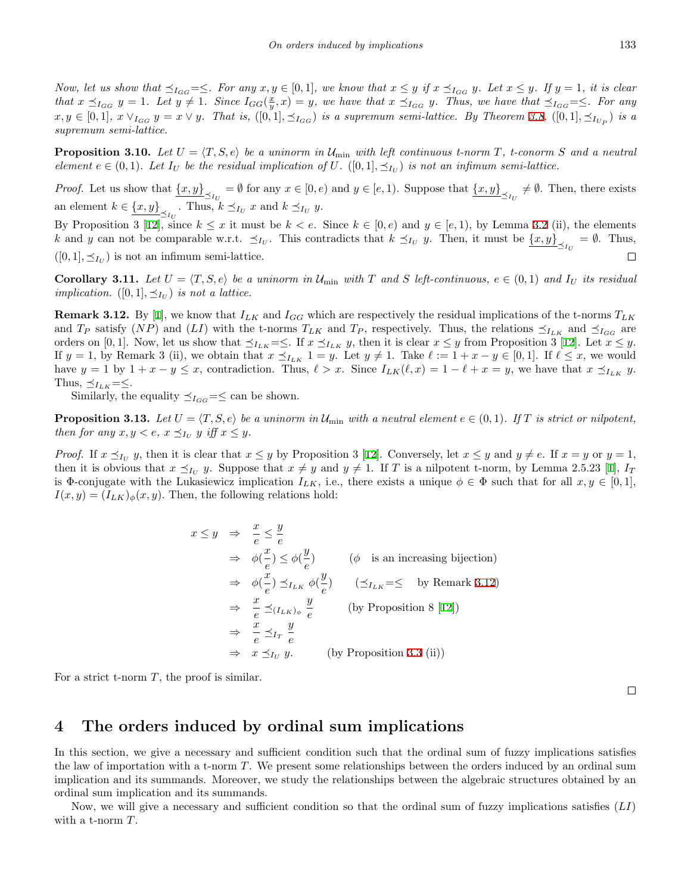Now, let us show that  $\preceq_{I_{GG}} = \preceq$ . For any  $x, y \in [0, 1]$ , we know that  $x \leq y$  if  $x \preceq_{I_{GG}} y$ . Let  $x \leq y$ . If  $y = 1$ , it is clear that  $x \leq_{I_{GG}} y = 1$ . Let  $y \neq 1$ . Since  $I_{GG}(\frac{x}{y}, x) = y$ , we have that  $x \leq_{I_{GG}} y$ . Thus, we have that  $\leq_{I_{GG}} = \leq$ . For any  $x, y \in [0,1], x \vee_{I_{GG}} y = x \vee y$ . That is,  $([0,1], \preceq_{I_{GG}})$  is a supremum semi-lattice. By Theorem [3.8,](#page-5-0)  $([0,1], \preceq_{I_{U_P}})$  is a *supremum semi-lattice.*

**Proposition 3.10.** Let  $U = \langle T, S, e \rangle$  be a uninorm in  $\mathcal{U}_{\text{min}}$  with left continuous t-norm  $T$ , t-conorm  $S$  and a neutral *element*  $e \in (0,1)$ *. Let*  $I_U$  *be the residual implication of*  $U$ *.* ([0,1],  $\preceq_{I_U}$ ) *is not an infimum semi-lattice.* 

*Proof.* Let us show that  $\underline{\{x,y\}}_{\preceq_{I_U}} = \emptyset$  for any  $x \in [0,e)$  and  $y \in [e,1)$ . Suppose that  $\underline{\{x,y\}}_{\preceq_{I_U}} \neq \emptyset$ . Then, there exists an element  $k \in \{x, y\}$ <sub> $\leq_{I_U}$ </sub>. Thus,  $k \leq_{I_U} x$  and  $k \leq_{I_U} y$ .

By Proposition 3 [[12\]](#page-13-18), since  $k \leq x$  it must be  $k < e$ . Since  $k \in [0, e)$  and  $y \in [e, 1)$ , by Lemma [3.2](#page-3-1) (ii), the elements *k* and *y* can not be comparable w.r.t.  $\preceq_{I_U}$ . This contradicts that  $k \preceq_{I_U} y$ . Then, it must be  $\{x, y\}_{\preceq_{I_U}} = \emptyset$ . Thus,  $([0, 1], \preceq_{I_U})$  is not an infimum semi-lattice.  $\Box$ 

**Corollary 3.11.** Let  $U = \langle T, S, e \rangle$  be a uninorm in  $\mathcal{U}_{\text{min}}$  with T and S left-continuous,  $e \in (0,1)$  and  $I_U$  its residual *implication.* ([0, 1],  $\preceq_{I_U}$ ) *is not a lattice.* 

<span id="page-6-0"></span>**Remark 3.12.** By [[1\]](#page-13-0), we know that  $I_{LK}$  and  $I_{GG}$  which are respectively the residual implications of the t-norms  $T_{LK}$ and *T<sub>P</sub>* satisfy (*NP*) and (*LI*) with the t-norms  $T_{LK}$  and  $T_P$ , respectively. Thus, the relations  $\preceq_{I_{LK}}$  and  $\preceq_{I_{GG}}$  are orders on [0, 1]. Now, let us show that  $\preceq_{I_{LK}} = \preceq$ . If  $x \preceq_{I_{LK}} y$ , then it is clear  $x \leq y$  from Proposition 3 [\[12](#page-13-18)]. Let  $x \leq y$ . If  $y = 1$ , by Remark 3 (ii), we obtain that  $x \leq_{I_{LK}} 1 = y$ . Let  $y \neq 1$ . Take  $\ell := 1 + x - y \in [0,1]$ . If  $\ell \leq x$ , we would have  $y = 1$  by  $1 + x - y \le x$ , contradiction. Thus,  $\ell > x$ . Since  $I_{LK}(\ell, x) = 1 - \ell + x = y$ , we have that  $x \preceq_{I_{LK}} y$ . Thus,  $\leq I_{LK} = \leq$ .

Similarly, the equality  $\preceq_{I_{GG}} = \leq$  can be shown.

**Proposition 3.13.** Let  $U = \langle T, S, e \rangle$  be a uninorm in  $\mathcal{U}_{\text{min}}$  with a neutral element  $e \in (0,1)$ . If T is strict or nilpotent, *then for any*  $x, y < e$ ,  $x \leq I_U$  *y iff*  $x \leq y$ .

*Proof.* If  $x \leq_{I_U} y$ , then it is clear that  $x \leq y$  by Proposition 3 [[12\]](#page-13-18). Conversely, let  $x \leq y$  and  $y \neq e$ . If  $x = y$  or  $y = 1$ , then it is obvious that  $x \leq_{I_U} y$ . Suppose that  $x \neq y$  and  $y \neq 1$ . If *T* is a nilpotent t-norm, by Lemma 2.5.23 [[1\]](#page-13-0),  $I_T$ is  $\Phi$ -conjugate with the Lukasiewicz implication  $I_{LK}$ , i.e., there exists a unique  $\phi \in \Phi$  such that for all  $x, y \in [0, 1]$ ,  $I(x,y) = (I_{LK})_{\phi}(x,y)$ . Then, the following relations hold:

$$
x \le y \implies \frac{x}{e} \le \frac{y}{e}
$$
  
\n
$$
\implies \phi(\frac{x}{e}) \le \phi(\frac{y}{e}) \qquad (\phi \text{ is an increasing bijection})
$$
  
\n
$$
\implies \phi(\frac{x}{e}) \le I_{L_K} \phi(\frac{y}{e}) \qquad (\le I_{L_K} = \le \text{ by Remark 3.12})
$$
  
\n
$$
\implies \frac{x}{e} \le (I_{L_K})_{\phi} \frac{y}{e} \qquad \text{(by Proposition 8 [12])}
$$
  
\n
$$
\implies \frac{x}{e} \le I_T \frac{y}{e}
$$
  
\n
$$
\implies x \le I_U y. \qquad \text{(by Proposition 3.3 (ii))}
$$

For a strict t-norm *T*, the proof is similar.

#### **4 The orders induced by ordinal sum implications**

In this section, we give a necessary and sufficient condition such that the ordinal sum of fuzzy implications satisfies the law of importation with a t-norm *T*. We present some relationships between the orders induced by an ordinal sum implication and its summands. Moreover, we study the relationships between the algebraic structures obtained by an ordinal sum implication and its summands.

<span id="page-6-1"></span>Now, we will give a necessary and sufficient condition so that the ordinal sum of fuzzy implications satisfies (*LI*) with a t-norm *T*.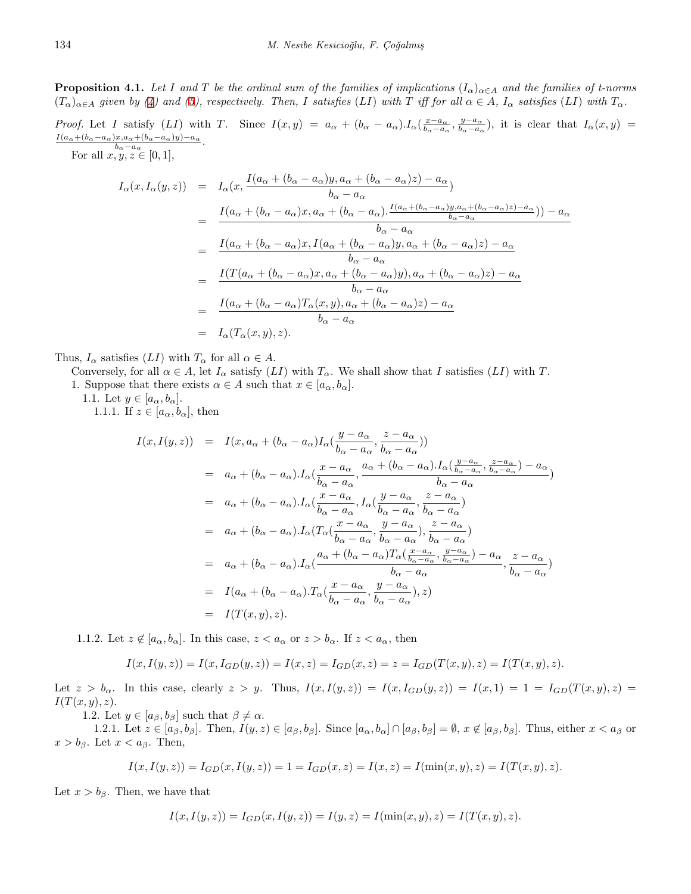**Proposition 4.1.** *Let I* and *T* be the ordinal sum of the families of implications  $(I_\alpha)_{\alpha \in A}$  and the families of t-norms  $(T_{\alpha})_{\alpha\in A}$  given by [\(4](#page-2-1)) and [\(5](#page-3-3)), respectively. Then, I satisfies (LI) with T iff for all  $\alpha \in A$ ,  $I_{\alpha}$  satisfies (LI) with  $T_{\alpha}$ .

*Proof.* Let I satisfy (LI) with T. Since  $I(x,y) = a_{\alpha} + (b_{\alpha} - a_{\alpha}) \cdot I_{\alpha}(\frac{x-a_{\alpha}}{b_{\alpha}-a_{\alpha}}, \frac{y-a_{\alpha}}{b_{\alpha}-a_{\alpha}})$ , it is clear that  $I_{\alpha}(x,y) =$  $I(a_{\alpha}+(b_{\alpha}-a_{\alpha})x, a_{\alpha}+(b_{\alpha}-a_{\alpha})y)-a_{\alpha}$  $\frac{x}{b_\alpha - a_\alpha} \frac{+(b_\alpha - a_\alpha)y}{-a_\alpha}$ .

For all  $x, y, z \in [0, 1],$ 

$$
I_{\alpha}(x, I_{\alpha}(y, z)) = I_{\alpha}(x, \frac{I(a_{\alpha} + (b_{\alpha} - a_{\alpha})y, a_{\alpha} + (b_{\alpha} - a_{\alpha})z) - a_{\alpha}}{b_{\alpha} - a_{\alpha}})
$$
  
\n
$$
= \frac{I(a_{\alpha} + (b_{\alpha} - a_{\alpha})x, a_{\alpha} + (b_{\alpha} - a_{\alpha}) \cdot \frac{I(a_{\alpha} + (b_{\alpha} - a_{\alpha})y, a_{\alpha} + (b_{\alpha} - a_{\alpha})z) - a_{\alpha}}{b_{\alpha} - a_{\alpha}})}{b_{\alpha} - a_{\alpha}}
$$
  
\n
$$
= \frac{I(a_{\alpha} + (b_{\alpha} - a_{\alpha})x, I(a_{\alpha} + (b_{\alpha} - a_{\alpha})y, a_{\alpha} + (b_{\alpha} - a_{\alpha})z) - a_{\alpha}}{b_{\alpha} - a_{\alpha}}
$$
  
\n
$$
= \frac{I(T(a_{\alpha} + (b_{\alpha} - a_{\alpha})x, a_{\alpha} + (b_{\alpha} - a_{\alpha})y), a_{\alpha} + (b_{\alpha} - a_{\alpha})z) - a_{\alpha}}{b_{\alpha} - a_{\alpha}}
$$
  
\n
$$
= \frac{I(a_{\alpha} + (b_{\alpha} - a_{\alpha})T_{\alpha}(x, y), a_{\alpha} + (b_{\alpha} - a_{\alpha})z) - a_{\alpha}}{b_{\alpha} - a_{\alpha}}
$$
  
\n
$$
= I_{\alpha}(T_{\alpha}(x, y), z).
$$

Thus,  $I_{\alpha}$  satisfies  $(LI)$  with  $T_{\alpha}$  for all  $\alpha \in A$ .

Conversely, for all  $\alpha \in A$ , let  $I_{\alpha}$  satisfy  $(LI)$  with  $T_{\alpha}$ . We shall show that *I* satisfies  $(LI)$  with *T*.

1. Suppose that there exists  $\alpha \in A$  such that  $x \in [a_{\alpha}, b_{\alpha}]$ .

1.1. Let  $y \in [a_{\alpha}, b_{\alpha}]$ .

1.1.1. If  $z \in [a_{\alpha}, b_{\alpha}]$ , then

$$
I(x, I(y, z)) = I(x, a_{\alpha} + (b_{\alpha} - a_{\alpha})I_{\alpha}(\frac{y - a_{\alpha}}{b_{\alpha} - a_{\alpha}}, \frac{z - a_{\alpha}}{b_{\alpha} - a_{\alpha}}))
$$
  
\n
$$
= a_{\alpha} + (b_{\alpha} - a_{\alpha})I_{\alpha}(\frac{x - a_{\alpha}}{b_{\alpha} - a_{\alpha}}, \frac{a_{\alpha} + (b_{\alpha} - a_{\alpha})I_{\alpha}(\frac{y - a_{\alpha}}{b_{\alpha} - a_{\alpha}}, \frac{z - a_{\alpha}}{b_{\alpha} - a_{\alpha}}) - a_{\alpha})
$$
  
\n
$$
= a_{\alpha} + (b_{\alpha} - a_{\alpha})I_{\alpha}(\frac{x - a_{\alpha}}{b_{\alpha} - a_{\alpha}}, I_{\alpha}(\frac{y - a_{\alpha}}{b_{\alpha} - a_{\alpha}}, \frac{z - a_{\alpha}}{b_{\alpha} - a_{\alpha}}))
$$
  
\n
$$
= a_{\alpha} + (b_{\alpha} - a_{\alpha})I_{\alpha}(T_{\alpha}(\frac{x - a_{\alpha}}{b_{\alpha} - a_{\alpha}}, \frac{y - a_{\alpha}}{b_{\alpha} - a_{\alpha}}), \frac{z - a_{\alpha}}{b_{\alpha} - a_{\alpha}}))
$$
  
\n
$$
= a_{\alpha} + (b_{\alpha} - a_{\alpha})I_{\alpha}(\frac{a_{\alpha} + (b_{\alpha} - a_{\alpha})T_{\alpha}(\frac{x - a_{\alpha}}{b_{\alpha} - a_{\alpha}}, \frac{y - a_{\alpha}}{b_{\alpha} - a_{\alpha}}) - a_{\alpha}}{b_{\alpha} - a_{\alpha}}, \frac{z - a_{\alpha}}{b_{\alpha} - a_{\alpha}})
$$
  
\n
$$
= I(a_{\alpha} + (b_{\alpha} - a_{\alpha})T_{\alpha}(\frac{x - a_{\alpha}}{b_{\alpha} - a_{\alpha}}, \frac{y - a_{\alpha}}{b_{\alpha} - a_{\alpha}}), z)
$$
  
\n
$$
= I(T(x, y), z).
$$

1.1.2. Let  $z \notin [a_{\alpha}, b_{\alpha}]$ . In this case,  $z < a_{\alpha}$  or  $z > b_{\alpha}$ . If  $z < a_{\alpha}$ , then

$$
I(x,I(y,z))=I(x,I_{GD}(y,z))=I(x,z)=I_{GD}(x,z)=z=I_{GD}(T(x,y),z)=I(T(x,y),z).
$$

Let  $z > b_{\alpha}$ . In this case, clearly  $z > y$ . Thus,  $I(x, I(y, z)) = I(x, I_{GD}(y, z)) = I(x, 1) = 1 = I_{GD}(T(x, y), z)$ *I*(*T*(*x, y*)*, z*)*.*

1.2. Let  $y \in [a_{\beta}, b_{\beta}]$  such that  $\beta \neq \alpha$ .

1.2.1. Let  $z \in [a_{\beta}, b_{\beta}]$ . Then,  $I(y, z) \in [a_{\beta}, b_{\beta}]$ . Since  $[a_{\alpha}, b_{\alpha}] \cap [a_{\beta}, b_{\beta}] = \emptyset$ ,  $x \notin [a_{\beta}, b_{\beta}]$ . Thus, either  $x < a_{\beta}$  or  $x > b_{\beta}$ . Let  $x < a_{\beta}$ . Then,

$$
I(x, I(y, z)) = I_{GD}(x, I(y, z)) = 1 = I_{GD}(x, z) = I(x, z) = I(\min(x, y), z) = I(T(x, y), z).
$$

Let  $x > b_{\beta}$ . Then, we have that

$$
I(x, I(y, z)) = I_{GD}(x, I(y, z)) = I(y, z) = I(\min(x, y), z) = I(T(x, y), z).
$$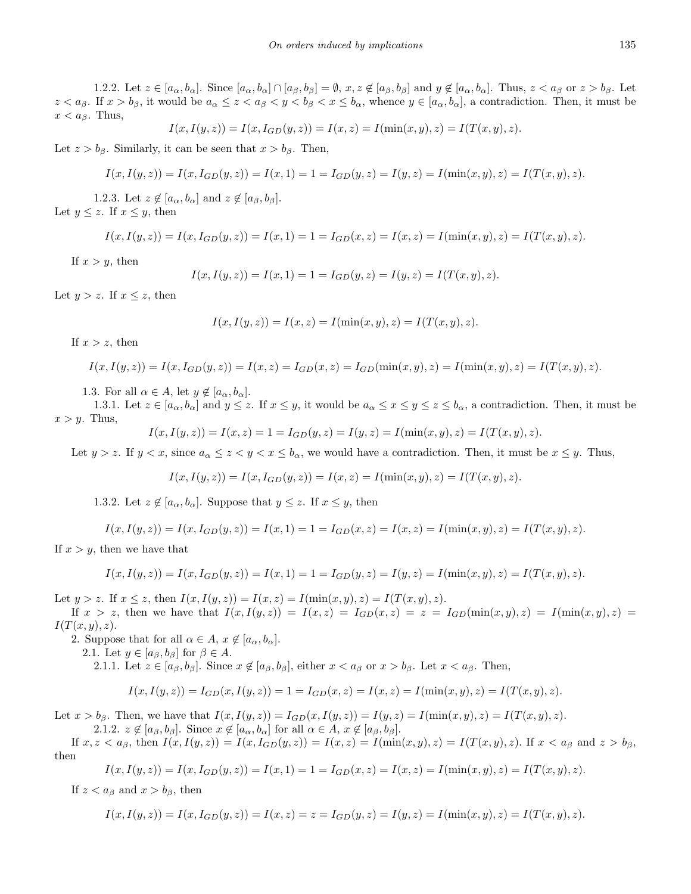1.2.2. Let  $z \in [a_{\alpha}, b_{\alpha}]$ . Since  $[a_{\alpha}, b_{\alpha}] \cap [a_{\beta}, b_{\beta}] = \emptyset$ ,  $x, z \notin [a_{\beta}, b_{\beta}]$  and  $y \notin [a_{\alpha}, b_{\alpha}]$ . Thus,  $z < a_{\beta}$  or  $z > b_{\beta}$ . Let  $z < a_{\beta}$ . If  $x > b_{\beta}$ , it would be  $a_{\alpha} \leq z < a_{\beta} < y < b_{\beta} < x \leq b_{\alpha}$ , whence  $y \in [a_{\alpha}, b_{\alpha}]$ , a contradiction. Then, it must be  $x < a_{\beta}$ . Thus,

$$
I(x, I(y, z)) = I(x, I_{GD}(y, z)) = I(x, z) = I(\min(x, y), z) = I(T(x, y), z).
$$

Let  $z > b_{\beta}$ . Similarly, it can be seen that  $x > b_{\beta}$ . Then,

$$
I(x, I(y, z)) = I(x, I_{GD}(y, z)) = I(x, 1) = 1 = I_{GD}(y, z) = I(y, z) = I(\min(x, y), z) = I(T(x, y), z).
$$

1.2.3. Let  $z \notin [a_{\alpha}, b_{\alpha}]$  and  $z \notin [a_{\beta}, b_{\beta}]$ . Let  $y \leq z$ . If  $x \leq y$ , then

$$
I(x, I(y, z)) = I(x, I_{GD}(y, z)) = I(x, 1) = 1 = I_{GD}(x, z) = I(x, z) = I(\min(x, y), z) = I(T(x, y), z).
$$

If  $x > y$ , then

$$
I(x, I(y, z)) = I(x, 1) = 1 = I_{GD}(y, z) = I(y, z) = I(T(x, y), z).
$$

Let  $y > z$ . If  $x \leq z$ , then

$$
I(x, I(y, z)) = I(x, z) = I(\min(x, y), z) = I(T(x, y), z).
$$

If  $x > z$ , then

$$
I(x, I(y, z)) = I(x, I_{GD}(y, z)) = I(x, z) = I_{GD}(x, z) = I_{GD}(\min(x, y), z) = I(\min(x, y), z) = I(T(x, y), z).
$$

1.3. For all  $\alpha \in A$ , let  $y \notin [a_{\alpha}, b_{\alpha}]$ .

1.3.1. Let  $z \in [a_{\alpha}, b_{\alpha}]$  and  $y \leq z$ . If  $x \leq y$ , it would be  $a_{\alpha} \leq x \leq y \leq z \leq b_{\alpha}$ , a contradiction. Then, it must be  $x > y$ . Thus,

$$
I(x, I(y, z)) = I(x, z) = 1 = I_{GD}(y, z) = I(y, z) = I(\min(x, y), z) = I(T(x, y), z).
$$

Let  $y > z$ . If  $y < x$ , since  $a_{\alpha} \leq z < y < x \leq b_{\alpha}$ , we would have a contradiction. Then, it must be  $x \leq y$ . Thus,

$$
I(x, I(y, z)) = I(x, I_{GD}(y, z)) = I(x, z) = I(\min(x, y), z) = I(T(x, y), z).
$$

1.3.2. Let  $z \notin [a_{\alpha}, b_{\alpha}]$ . Suppose that  $y \leq z$ . If  $x \leq y$ , then

$$
I(x, I(y, z)) = I(x, I_{GD}(y, z)) = I(x, 1) = 1 = I_{GD}(x, z) = I(x, z) = I(\min(x, y), z) = I(T(x, y), z).
$$

If  $x > y$ , then we have that

$$
I(x, I(y, z)) = I(x, I_{GD}(y, z)) = I(x, 1) = 1 = I_{GD}(y, z) = I(y, z) = I(\min(x, y), z) = I(T(x, y), z).
$$

Let  $y > z$ . If  $x \le z$ , then  $I(x, I(y, z)) = I(x, z) = I(\min(x, y), z) = I(T(x, y), z)$ .

If  $x > z$ , then we have that  $I(x, I(y, z)) = I(x, z) = I_{GD}(x, z) = z = I_{GD}(\min(x, y), z) = I(\min(x, y), z) =$ *I*(*T*(*x, y*)*, z*)*.*

2. Suppose that for all  $\alpha \in A$ ,  $x \notin [a_{\alpha}, b_{\alpha}]$ .

2.1. Let  $y \in [a_{\beta}, b_{\beta}]$  for  $\beta \in A$ .

2.1.1. Let  $z \in [a_{\beta}, b_{\beta}]$ . Since  $x \notin [a_{\beta}, b_{\beta}]$ , either  $x < a_{\beta}$  or  $x > b_{\beta}$ . Let  $x < a_{\beta}$ . Then,

$$
I(x,I(y,z))=I_{GD}(x,I(y,z))=1=I_{GD}(x,z)=I(x,z)=I(\min(x,y),z)=I(T(x,y),z).
$$

Let  $x > b_{\beta}$ . Then, we have that  $I(x, I(y, z)) = I_{GD}(x, I(y, z)) = I(y, z) = I(\min(x, y), z) = I(T(x, y), z)$ . 2.1.2.  $z \notin [a_{\beta}, b_{\beta}]$ . Since  $x \notin [a_{\alpha}, b_{\alpha}]$  for all  $\alpha \in A$ ,  $x \notin [a_{\beta}, b_{\beta}]$ .

If  $x, z < a_{\beta}$ , then  $I(x, I(y, z)) = I(x, I_{GD}(y, z)) = I(x, z) = I(\min(x, y), z) = I(T(x, y), z)$ . If  $x < a_{\beta}$  and  $z > b_{\beta}$ , then

$$
I(x, I(y, z)) = I(x, I_{GD}(y, z)) = I(x, 1) = 1 = I_{GD}(x, z) = I(x, z) = I(\min(x, y), z) = I(T(x, y), z).
$$

If  $z < a_{\beta}$  and  $x > b_{\beta}$ , then

$$
I(x, I(y, z)) = I(x, I_{GD}(y, z)) = I(x, z) = z = I_{GD}(y, z) = I(y, z) = I(\min(x, y), z) = I(T(x, y), z).
$$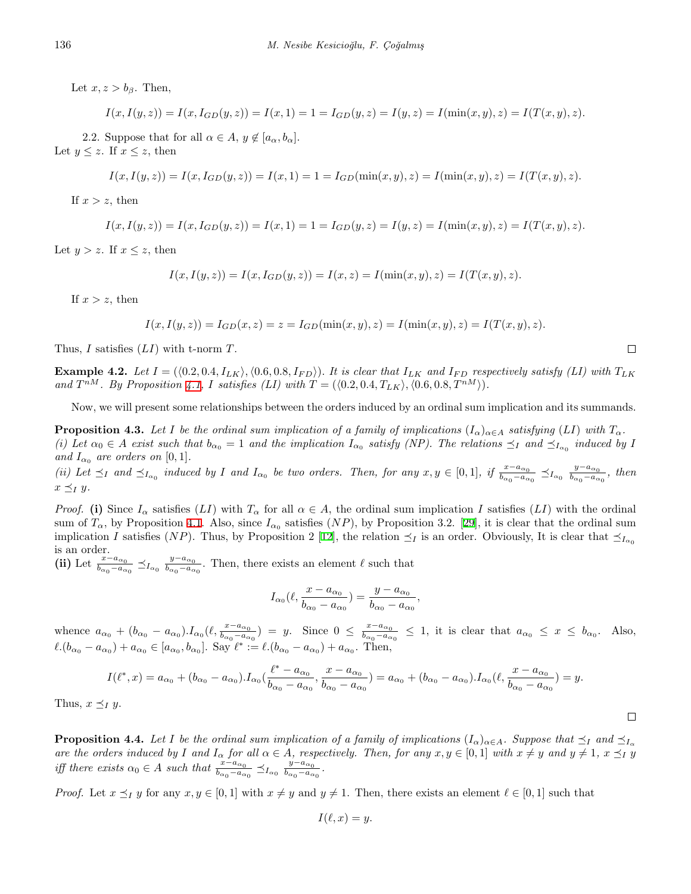Let  $x, z > b_\beta$ . Then,

$$
I(x, I(y, z)) = I(x, I_{GD}(y, z)) = I(x, 1) = 1 = I_{GD}(y, z) = I(y, z) = I(\min(x, y), z) = I(T(x, y), z).
$$

2.2. Suppose that for all  $\alpha \in A$ ,  $y \notin [a_{\alpha}, b_{\alpha}]$ . Let  $y \leq z$ . If  $x \leq z$ , then

$$
I(x, I(y, z)) = I(x, I_{GD}(y, z)) = I(x, 1) = 1 = I_{GD}(\min(x, y), z) = I(\min(x, y), z) = I(T(x, y), z).
$$

If  $x > z$ , then

$$
I(x,I(y,z)) = I(x,I_{GD}(y,z)) = I(x,1) = 1 = I_{GD}(y,z) = I(y,z) = I(\min(x,y),z) = I(T(x,y),z).
$$

Let  $y > z$ . If  $x \leq z$ , then

$$
I(x, I(y, z)) = I(x, I_{GD}(y, z)) = I(x, z) = I(\min(x, y), z) = I(T(x, y), z).
$$

If  $x > z$ , then

$$
I(x, I(y, z)) = I_{GD}(x, z) = z = I_{GD}(\min(x, y), z) = I(\min(x, y), z) = I(T(x, y), z).
$$

Thus, *I* satisfies (*LI*) with t-norm *T*.

**Example 4.2.** Let  $I = (\langle 0.2, 0.4, I_{LK} \rangle, \langle 0.6, 0.8, I_{FD} \rangle)$ . It is clear that  $I_{LK}$  and  $I_{FD}$  respectively satisfy (LI) with  $T_{LK}$ and  $T^{nM}$ . By Proposition [4.1,](#page-6-1) I satisfies (LI) with  $T = (\langle 0.2, 0.4, T_{LK} \rangle, \langle 0.6, 0.8, T^{nM} \rangle)$ .

Now, we will present some relationships between the orders induced by an ordinal sum implication and its summands.

<span id="page-9-0"></span>**Proposition 4.3.** Let I be the ordinal sum implication of a family of implications  $(I_\alpha)_{\alpha \in A}$  satisfying  $(LI)$  with  $T_\alpha$ . (i) Let  $\alpha_0 \in A$  exist such that  $b_{\alpha_0} = 1$  and the implication  $I_{\alpha_0}$  satisfy (NP). The relations  $\preceq_I$  and  $\preceq_{I_{\alpha_0}}$  induced by I *and*  $I_{\alpha_0}$  *are orders on* [0, 1].

(ii) Let  $\preceq_I$  and  $\preceq_{I_{\alpha_0}}$  induced by I and  $I_{\alpha_0}$  be two orders. Then, for any  $x, y \in [0,1]$ , if  $\frac{x-a_{\alpha_0}}{b_{\alpha_0}-a_{\alpha_0}} \preceq_{I_{\alpha_0}} \frac{y-a_{\alpha_0}}{b_{\alpha_0}-a_{\alpha_0}}$  $\frac{y-a_{\alpha_0}}{b_{\alpha_0}-a_{\alpha_0}}$ , then  $x \preceq_I y$ .

*Proof.* (i) Since  $I_\alpha$  satisfies (*LI*) with  $T_\alpha$  for all  $\alpha \in A$ , the ordinal sum implication *I* satisfies (*LI*) with the ordinal sum of  $T_\alpha$ , by Proposition [4.1.](#page-6-1) Also, since  $I_{\alpha_0}$  satisfies  $(NP)$ , by Proposition 3.2. [[29\]](#page-14-3), it is clear that the ordinal sum implication *I* satisfies (*NP*). Thus, by Proposition 2 [[12\]](#page-13-18), the relation  $\leq_I$  is an order. Obviously, It is clear that  $\leq_{I_{\alpha_0}}$ is an order.

(ii) Let  $\frac{x-a_{\alpha_0}}{b_{\alpha_0}-a_{\alpha_0}} \preceq_{I_{\alpha_0}} \frac{y-a_{\alpha_0}}{b_{\alpha_0}-a_{\alpha_0}}$  $\frac{y-a_{\alpha_0}}{b_{\alpha_0}-a_{\alpha_0}}$ . Then, there exists an element  $\ell$  such that

$$
I_{\alpha_0}(\ell, \frac{x - a_{\alpha_0}}{b_{\alpha_0} - a_{\alpha_0}}) = \frac{y - a_{\alpha_0}}{b_{\alpha_0} - a_{\alpha_0}},
$$

whence  $a_{\alpha_0} + (b_{\alpha_0} - a_{\alpha_0}) \cdot I_{\alpha_0}(\ell, \frac{x - a_{\alpha_0}}{b_{\alpha_0} - a_{\alpha_0}}) = y$ . Since  $0 \le \frac{x - a_{\alpha_0}}{b_{\alpha_0} - a_{\alpha_0}}$  $\frac{x-a_{\alpha_0}}{b_{\alpha_0}-a_{\alpha_0}} \leq 1$ , it is clear that  $a_{\alpha_0} \leq x \leq b_{\alpha_0}$ . Also,  $\ell.(b_{\alpha_0} - a_{\alpha_0}) + a_{\alpha_0} \in [a_{\alpha_0}, b_{\alpha_0}]$ . Say  $\ell^* := \ell.(b_{\alpha_0} - a_{\alpha_0}) + a_{\alpha_0}$ . Then,

$$
I(\ell^*,x) = a_{\alpha_0} + (b_{\alpha_0} - a_{\alpha_0}).I_{\alpha_0}(\frac{\ell^* - a_{\alpha_0}}{b_{\alpha_0} - a_{\alpha_0}}, \frac{x - a_{\alpha_0}}{b_{\alpha_0} - a_{\alpha_0}}) = a_{\alpha_0} + (b_{\alpha_0} - a_{\alpha_0}).I_{\alpha_0}(\ell, \frac{x - a_{\alpha_0}}{b_{\alpha_0} - a_{\alpha_0}}) = y.
$$

Thus,  $x \preceq_I y$ .

**Proposition 4.4.** Let I be the ordinal sum implication of a family of implications  $(I_{\alpha})_{\alpha \in A}$ . Suppose that  $\preceq_I$  and  $\preceq_{I_{\alpha}}$ are the orders induced by I and  $I_{\alpha}$  for all  $\alpha \in A$ , respectively. Then, for any  $x, y \in [0,1]$  with  $x \neq y$  and  $y \neq 1$ ,  $x \leq_1 y$ *iff there exists*  $\alpha_0 \in A$  *such that*  $\frac{x - a_{\alpha_0}}{b_{\alpha_0} - a_{\alpha_0}} \preceq_{I_{\alpha_0}} \frac{y - a_{\alpha_0}}{b_{\alpha_0} - a_{\alpha}}$  $\frac{y-a_{\alpha_0}}{b_{\alpha_0}-a_{\alpha_0}}$ .

*Proof.* Let  $x \leq_I y$  for any  $x, y \in [0, 1]$  with  $x \neq y$  and  $y \neq 1$ . Then, there exists an element  $\ell \in [0, 1]$  such that

$$
I(\ell, x) = y.
$$

 $\Box$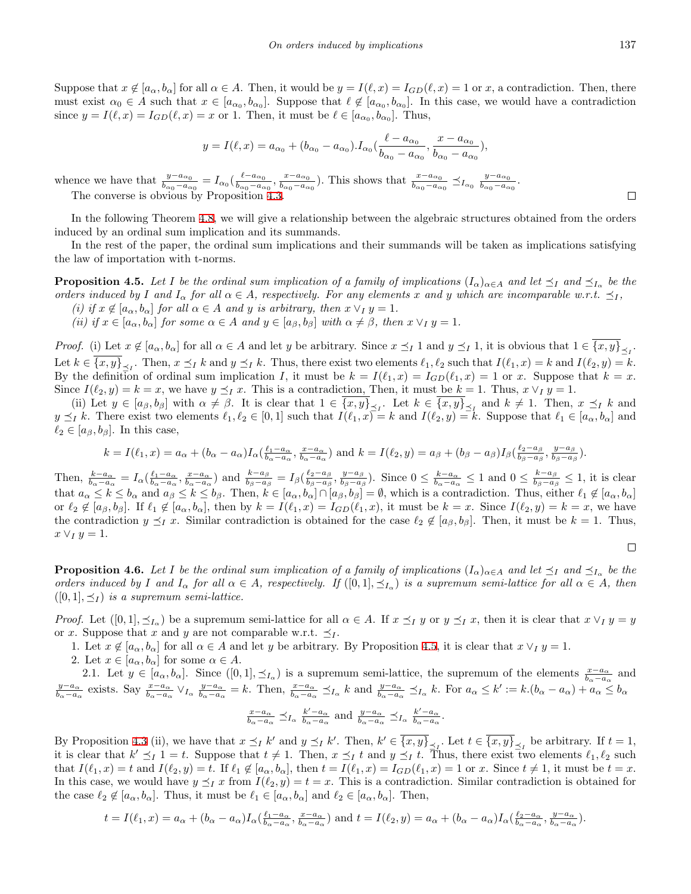Suppose that  $x \notin [a_{\alpha}, b_{\alpha}]$  for all  $\alpha \in A$ . Then, it would be  $y = I(\ell, x) = I_{GD}(\ell, x) = 1$  or x, a contradiction. Then, there must exist  $\alpha_0 \in A$  such that  $x \in [a_{\alpha_0}, b_{\alpha_0}]$ . Suppose that  $\ell \notin [a_{\alpha_0}, b_{\alpha_0}]$ . In this case, we would have a contradiction since  $y = I(\ell, x) = I_{GD}(\ell, x) = x$  or 1. Then, it must be  $\ell \in [a_{\alpha_0}, b_{\alpha_0}]$ . Thus,

$$
y = I(\ell, x) = a_{\alpha_0} + (b_{\alpha_0} - a_{\alpha_0}).I_{\alpha_0}(\frac{\ell - a_{\alpha_0}}{b_{\alpha_0} - a_{\alpha_0}}, \frac{x - a_{\alpha_0}}{b_{\alpha_0} - a_{\alpha_0}}),
$$

whence we have that  $\frac{y - a_{\alpha_0}}{b_{\alpha_0} - a_{\alpha_0}} = I_{\alpha_0} \left( \frac{\ell - a_{\alpha_0}}{b_{\alpha_0} - a_{\alpha_0}} \right)$  $\frac{\ell - a_{\alpha_0}}{b_{\alpha_0} - a_{\alpha_0}}, \frac{x - a_{\alpha_0}}{b_{\alpha_0} - a_{\alpha_0}}$  $\frac{x - a_{\alpha_0}}{b_{\alpha_0} - a_{\alpha_0}}$ ). This shows that  $\frac{x - a_{\alpha_0}}{b_{\alpha_0} - a_{\alpha_0}} \preceq_{I_{\alpha_0}} \frac{y - a_{\alpha_0}}{b_{\alpha_0} - a_{\alpha_0}}$  $rac{y-a_{\alpha_0}}{b_{\alpha_0}-a_{\alpha_0}}$ . The converse is obvious by Proposition [4.3.](#page-9-0)

In the following Theorem [4.8](#page-11-0), we will give a relationship between the algebraic structures obtained from the orders induced by an ordinal sum implication and its summands.

In the rest of the paper, the ordinal sum implications and their summands will be taken as implications satisfying the law of importation with t-norms.

<span id="page-10-0"></span>**Proposition 4.5.** Let I be the ordinal sum implication of a family of implications  $(I_{\alpha})_{\alpha \in A}$  and let  $\preceq_I$  and  $\preceq_{I_{\alpha}}$  be the orders induced by I and  $I_{\alpha}$  for all  $\alpha \in A$ , respectively. For any elements x and y which are incomparable w.r.t.  $\preceq_I$ ,

- *(i) if*  $x \notin [a_\alpha, b_\alpha]$  *for all*  $\alpha \in A$  *and y is arbitrary, then*  $x \vee_I y = 1$ *.*
- (ii) if  $x \in [a_{\alpha}, b_{\alpha}]$  for some  $\alpha \in A$  and  $y \in [a_{\beta}, b_{\beta}]$  with  $\alpha \neq \beta$ , then  $x \vee_I y = 1$ .

*Proof.* (i) Let  $x \notin [a_{\alpha}, b_{\alpha}]$  for all  $\alpha \in A$  and let y be arbitrary. Since  $x \preceq_I 1$  and  $y \preceq_I 1$ , it is obvious that  $1 \in \{x, y\}_{\preceq_I}$ . Let  $k \in \{x, y\}_{\preceq I}$ . Then,  $x \preceq_I k$  and  $y \preceq_I k$ . Thus, there exist two elements  $\ell_1, \ell_2$  such that  $I(\ell_1, x) = k$  and  $I(\ell_2, y) = k$ . By the definition of ordinal sum implication *I*, it must be  $k = I(\ell_1, x) = I_{GD}(\ell_1, x) = 1$  or *x*. Suppose that  $k = x$ . Since  $I(\ell_2, y) = k = x$ , we have  $y \leq_I x$ . This is a contradiction, Then, it must be  $k = 1$ . Thus,  $x \vee_I y = 1$ .

(ii) Let  $y \in [a_{\beta}, b_{\beta}]$  with  $\alpha \neq \beta$ . It is clear that  $1 \in \{x, y\}_{\leq I}$ . Let  $k \in \{x, y\}_{\leq I}$  and  $k \neq 1$ . Then,  $x \leq I$  k and  $y \leq_I k$ . There exist two elements  $\ell_1, \ell_2 \in [0,1]$  such that  $I(\ell_1, x) = k$  and  $I(\ell_2, y) = k$ . Suppose that  $\ell_1 \in [a_\alpha, b_\alpha]$  and  $\ell_2 \in [a_\beta, b_\beta]$ . In this case,

$$
k = I(\ell_1, x) = a_{\alpha} + (b_{\alpha} - a_{\alpha})I_{\alpha}(\frac{\ell_1 - a_{\alpha}}{b_{\alpha} - a_{\alpha}}, \frac{x - a_{\alpha}}{b_{\alpha} - a_{\alpha}}) \text{ and } k = I(\ell_2, y) = a_{\beta} + (b_{\beta} - a_{\beta})I_{\beta}(\frac{\ell_2 - a_{\beta}}{b_{\beta} - a_{\beta}}, \frac{y - a_{\beta}}{b_{\beta} - a_{\beta}}).
$$

Then,  $\frac{k-a_{\alpha}}{b_{\alpha}-a_{\alpha}} = I_{\alpha}(\frac{\ell_1-a_{\alpha}}{b_{\alpha}-a_{\alpha}}, \frac{x-a_{\alpha}}{b_{\alpha}-a_{\alpha}})$  and  $\frac{k-a_{\beta}}{b_{\beta}-a_{\beta}} = I_{\beta}(\frac{\ell_2-a_{\beta}}{b_{\beta}-a_{\beta}})$  $\frac{\ell_2 - a_\beta}{b_\beta - a_\beta}, \frac{y - a_\beta}{b_\beta - a_\beta}$  $\frac{y-a_{\beta}}{b_{\beta}-a_{\beta}}$ ). Since  $0 \leq \frac{k-a_{\alpha}}{b_{\alpha}-a_{\alpha}} \leq 1$  and  $0 \leq \frac{k-a_{\beta}}{b_{\beta}-a_{\beta}}$  $\frac{\kappa - a_{\beta}}{b_{\beta} - a_{\beta}} \leq 1$ , it is clear that  $a_{\alpha} \leq k \leq b_{\alpha}$  and  $a_{\beta} \leq k \leq b_{\beta}$ . Then,  $k \in [a_{\alpha}, b_{\alpha}] \cap [a_{\beta}, b_{\beta}] = \emptyset$ , which is a contradiction. Thus, either  $\ell_1 \notin [a_{\alpha}, b_{\alpha}]$ or  $\ell_2 \notin [a_{\beta}, b_{\beta}]$ . If  $\ell_1 \notin [a_{\alpha}, b_{\alpha}]$ , then by  $k = I(\ell_1, x) = I_{GD}(\ell_1, x)$ , it must be  $k = x$ . Since  $I(\ell_2, y) = k = x$ , we have the contradiction  $y \leq_I x$ . Similar contradiction is obtained for the case  $\ell_2 \notin [a_\beta, b_\beta]$ . Then, it must be  $k = 1$ . Thus,  $x \vee y = 1.$ 

<span id="page-10-1"></span>**Proposition 4.6.** Let I be the ordinal sum implication of a family of implications  $(I_\alpha)_{\alpha\in A}$  and let  $\preceq_I$  and  $\preceq_{I_\alpha}$  be the orders induced by I and  $I_{\alpha}$  for all  $\alpha \in A$ , respectively. If  $([0,1], \preceq_{I_{\alpha}})$  is a supremum semi-lattice for all  $\alpha \in A$ , then  $([0, 1], \preceq_I)$  *is a supremum semi-lattice.* 

*Proof.* Let  $([0,1], \preceq_{I_\alpha})$  be a supremum semi-lattice for all  $\alpha \in A$ . If  $x \preceq_I y$  or  $y \preceq_I x$ , then it is clear that  $x \vee_I y = y$ or *x*. Suppose that *x* and *y* are not comparable w.r.t.  $\preceq_I$ .

- 1. Let  $x \notin [a_{\alpha}, b_{\alpha}]$  for all  $\alpha \in A$  and let *y* be arbitrary. By Proposition [4.5](#page-10-0), it is clear that  $x \vee_I y = 1$ .
- 2. Let  $x \in [a_{\alpha}, b_{\alpha}]$  for some  $\alpha \in A$ .

2.1. Let  $y \in [a_{\alpha}, b_{\alpha}]$ . Since  $([0, 1], \preceq_{I_{\alpha}})$  is a supremum semi-lattice, the supremum of the elements  $\frac{x-a_{\alpha}}{b_{\alpha}-a_{\alpha}}$  and  $\frac{y-a_{\alpha}}{b_{\alpha}-a_{\alpha}}$  exists. Say  $\frac{x-a_{\alpha}}{b_{\alpha}-a_{\alpha}} \vee_{I_{\alpha}} \frac{y-a_{\alpha}}{b_{\alpha}-a_{\alpha}} = k$ . Then,  $\frac{x-a_{\alpha}}{b_{\alpha}-a_{\alpha}} \preceq_{I_{\alpha}} k$  and  $\frac{y-a_{\alpha}}{b_{\alpha}-a_{\alpha}} \preceq_{I_{\alpha}} k$ . For  $a_{\alpha} \leq k' := k.(b_{\alpha}-a_{\alpha}) + a_{\alpha} \leq b_{\alpha}$ 

$$
\frac{x-a_{\alpha}}{b_{\alpha}-a_{\alpha}} \preceq_{I_{\alpha}} \frac{k'-a_{\alpha}}{b_{\alpha}-a_{\alpha}} \text{ and } \frac{y-a_{\alpha}}{b_{\alpha}-a_{\alpha}} \preceq_{I_{\alpha}} \frac{k'-a_{\alpha}}{b_{\alpha}-a_{\alpha}}.
$$

By Proposition [4.3](#page-9-0) (ii), we have that  $x \leq_l k'$  and  $y \leq_l k'$ . Then,  $k' \in \{x, y\}_{\leq_l}$ . Let  $t \in \{x, y\}_{\leq_l}$  be arbitrary. If  $t = 1$ , it is clear that  $k' \leq I = t$ . Suppose that  $t \neq 1$ . Then,  $x \leq_I t$  and  $y \leq_I t$ . Thus, there exist two elements  $\ell_1, \ell_2$  such that  $I(\ell_1, x) = t$  and  $I(\ell_2, y) = t$ . If  $\ell_1 \notin [a_\alpha, b_\alpha]$ , then  $t = I(\ell_1, x) = I_{GD}(\ell_1, x) = 1$  or x. Since  $t \neq 1$ , it must be  $t = x$ . In this case, we would have  $y \leq_I x$  from  $I(\ell_2, y) = t = x$ . This is a contradiction. Similar contradiction is obtained for the case  $\ell_2 \notin [a_\alpha, b_\alpha]$ . Thus, it must be  $\ell_1 \in [a_\alpha, b_\alpha]$  and  $\ell_2 \in [a_\alpha, b_\alpha]$ . Then,

$$
t = I(\ell_1, x) = a_{\alpha} + (b_{\alpha} - a_{\alpha})I_{\alpha}(\frac{\ell_1 - a_{\alpha}}{b_{\alpha} - a_{\alpha}}, \frac{x - a_{\alpha}}{b_{\alpha} - a_{\alpha}}) \text{ and } t = I(\ell_2, y) = a_{\alpha} + (b_{\alpha} - a_{\alpha})I_{\alpha}(\frac{\ell_2 - a_{\alpha}}{b_{\alpha} - a_{\alpha}}, \frac{y - a_{\alpha}}{b_{\alpha} - a_{\alpha}}).
$$

$$
\qquad \qquad \Box
$$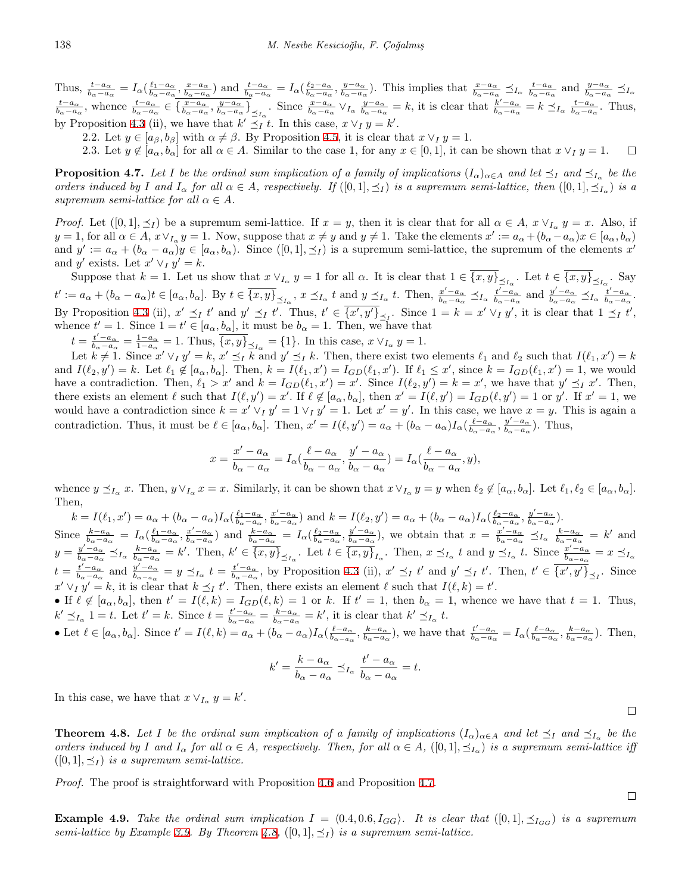Thus,  $\frac{t-a_{\alpha}}{b_{\alpha}-a_{\alpha}} = I_{\alpha}(\frac{\ell_1-a_{\alpha}}{b_{\alpha}-a_{\alpha}}, \frac{x-a_{\alpha}}{b_{\alpha}-a_{\alpha}})$  and  $\frac{t-a_{\alpha}}{b_{\alpha}-a_{\alpha}} = I_{\alpha}(\frac{\ell_2-a_{\alpha}}{b_{\alpha}-a_{\alpha}}, \frac{y-a_{\alpha}}{b_{\alpha}-a_{\alpha}})$ . This implies that  $\frac{x-a_{\alpha}}{b_{\alpha}-a_{\alpha}} \preceq_{I_{\alpha}} \frac{t-a_{\alpha}}{b_{\alpha}-a_{\alpha$  $\frac{t-a_{\alpha}}{b_{\alpha}-a_{\alpha}}$ , whence  $\frac{t-a_{\alpha}}{b_{\alpha}-a_{\alpha}} \in \left\{\frac{x-a_{\alpha}}{b_{\alpha}-a_{\alpha}}, \frac{y-a_{\alpha}}{b_{\alpha}-a_{\alpha}}\right\}_{\leq I_{\alpha}}$ . Since  $\frac{x-a_{\alpha}}{b_{\alpha}-a_{\alpha}} \vee_{I_{\alpha}} \frac{y-a_{\alpha}}{b_{\alpha}-a_{\alpha}} = k$ , it is clear that  $\frac{k'-a_{\alpha}}{b_{\alpha}-a_{\alpha}} = k \leq I_{\alpha}$ , by Proposition [4.3](#page-9-0) (ii), we have that  $k' \preceq_I t$ . In this case,  $x \vee_I y = k'$ .

2.2. Let  $y \in [a_{\beta}, b_{\beta}]$  with  $\alpha \neq \beta$ . By Proposition [4.5,](#page-10-0) it is clear that  $x \vee y = 1$ .

2.3. Let  $y \notin [a_{\alpha}, b_{\alpha}]$  for all  $\alpha \in A$ . Similar to the case 1, for any  $x \in [0,1]$ , it can be shown that  $x \vee y = 1$ .  $\Box$ 

<span id="page-11-1"></span>**Proposition 4.7.** Let I be the ordinal sum implication of a family of implications  $(I_\alpha)_{\alpha\in A}$  and let  $\preceq_I$  and  $\preceq_{I_\alpha}$  be the orders induced by I and  $I_{\alpha}$  for all  $\alpha \in A$ , respectively. If  $([0,1], \leq_I)$  is a supremum semi-lattice, then  $([0,1], \leq_{I_{\alpha}})$  is a *supremum semi-lattice for all*  $\alpha \in A$ *.* 

*Proof.* Let  $([0,1], \preceq_I)$  be a supremum semi-lattice. If  $x = y$ , then it is clear that for all  $\alpha \in A$ ,  $x \vee_{I_\alpha} y = x$ . Also, if  $y = 1$ , for all  $\alpha \in A$ ,  $x \vee_{I_{\alpha}} y = 1$ . Now, suppose that  $x \neq y$  and  $y \neq 1$ . Take the elements  $x' := a_{\alpha} + (b_{\alpha} - a_{\alpha})x \in [a_{\alpha}, b_{\alpha})$ and  $y' := a_{\alpha} + (b_{\alpha} - a_{\alpha})y \in [a_{\alpha}, b_{\alpha})$ . Since  $([0, 1], \preceq_I)$  is a supremum semi-lattice, the supremum of the elements  $x'$ and *y'* exists. Let  $x' \vee_I y' = k$ .

Suppose that  $k = 1$ . Let us show that  $x \vee_{I_{\alpha}} y = 1$  for all  $\alpha$ . It is clear that  $1 \in \{x, y\}_{\preceq_{I_{\alpha}}}$ . Let  $t \in \{x, y\}_{\preceq_{I_{\alpha}}}$ . Say  $t' := a_{\alpha} + (b_{\alpha} - a_{\alpha})t \in [a_{\alpha}, b_{\alpha}]$ . By  $t \in \overline{\{x, y\}}_{\leq_{I_{\alpha}}}$ ,  $x \leq_{I_{\alpha}} t$  and  $y \leq_{I_{\alpha}} t$ . Then,  $\frac{x'-a_{\alpha}}{b_{\alpha}-a_{\alpha}} \leq_{I_{\alpha}} \frac{t'-a_{\alpha}}{b_{\alpha}-a_{\alpha}} \leq_{I_{\alpha}} \frac{t'-a_{\alpha}}{b_{\alpha}-a_{\alpha}}$ . By Proposition [4.3](#page-9-0) (ii),  $x' \leq_t t'$  and  $y' \leq_t t'$ . Thus,  $t' \in \{x', y'\}_{\leq_t}$ . Since  $1 = k = x' \vee_t y'$ , it is clear that  $1 \leq_t t'$ , whence  $t' = 1$ . Since  $1 = t' \in [a_{\alpha}, b_{\alpha}]$ , it must be  $b_{\alpha} = 1$ . Then, we have that

 $t = \frac{t'-a_{\alpha}}{b_{\alpha}-a_{\alpha}} = \frac{1-a_{\alpha}}{1-a_{\alpha}} = 1$ . Thus,  $\overline{\{x,y\}}_{\leq I_{\alpha}} = \{1\}$ . In this case,  $x \vee_{I_{\alpha}} y = 1$ .

Let  $k \neq 1$ . Since  $x' \vee_I y' = k$ ,  $x' \preceq_I k$  and  $y' \preceq_I k$ . Then, there exist two elements  $\ell_1$  and  $\ell_2$  such that  $I(\ell_1, x') = k$ and  $I(\ell_2, y') = k$ . Let  $\ell_1 \notin [a_\alpha, b_\alpha]$ . Then,  $k = I(\ell_1, x') = I_{GD}(\ell_1, x')$ . If  $\ell_1 \leq x'$ , since  $k = I_{GD}(\ell_1, x') = 1$ , we would have a contradiction. Then,  $\ell_1 > x'$  and  $k = I_{GD}(\ell_1, x') = x'$ . Since  $I(\ell_2, y') = k = x'$ , we have that  $y' \preceq_I x'$ . Then, there exists an element  $\ell$  such that  $I(\ell, y') = x'$ . If  $\ell \notin [a_{\alpha}, b_{\alpha}]$ , then  $x' = I(\ell, y') = I_{GD}(\ell, y') = 1$  or y'. If  $x' = 1$ , we would have a contradiction since  $k = x' \vee_I y' = 1 \vee_I y' = 1$ . Let  $x' = y'$ . In this case, we have  $x = y$ . This is again a contradiction. Thus, it must be  $\ell \in [a_{\alpha}, b_{\alpha}]$ . Then,  $x' = I(\ell, y') = a_{\alpha} + (b_{\alpha} - a_{\alpha}) I_{\alpha}(\frac{\ell - a_{\alpha}}{b_{\alpha} - a_{\alpha}}, \frac{y' - a_{\alpha}}{b_{\alpha} - a_{\alpha}})$ . Thus,

$$
x = \frac{x' - a_{\alpha}}{b_{\alpha} - a_{\alpha}} = I_{\alpha}(\frac{\ell - a_{\alpha}}{b_{\alpha} - a_{\alpha}}, \frac{y' - a_{\alpha}}{b_{\alpha} - a_{\alpha}}) = I_{\alpha}(\frac{\ell - a_{\alpha}}{b_{\alpha} - a_{\alpha}}, y),
$$

whence  $y \leq_{I_\alpha} x$ . Then,  $y \vee_{I_\alpha} x = x$ . Similarly, it can be shown that  $x \vee_{I_\alpha} y = y$  when  $\ell_2 \notin [a_\alpha, b_\alpha]$ . Let  $\ell_1, \ell_2 \in [a_\alpha, b_\alpha]$ . Then,

 $k = I(\ell_1, x') = a_{\alpha} + (b_{\alpha} - a_{\alpha})I_{\alpha}(\frac{\ell_1 - a_{\alpha}}{b_{\alpha} - a_{\alpha}}, \frac{x' - a_{\alpha}}{b_{\alpha} - a_{\alpha}})$  and  $k = I(\ell_2, y') = a_{\alpha} + (b_{\alpha} - a_{\alpha})I_{\alpha}(\frac{\ell_2 - a_{\alpha}}{b_{\alpha} - a_{\alpha}}, \frac{y' - a_{\alpha}}{b_{\alpha} - a_{\alpha}})$ . Since  $\frac{k-a_{\alpha}}{b_{\alpha}-a_{\alpha}} = I_{\alpha}(\frac{\ell_1-a_{\alpha}}{b_{\alpha}-a_{\alpha}}, \frac{x'-a_{\alpha}}{b_{\alpha}-a_{\alpha}})$  and  $\frac{k-a_{\alpha}}{b_{\alpha}-a_{\alpha}} = I_{\alpha}(\frac{\ell_2-a_{\alpha}}{b_{\alpha}-a_{\alpha}}, \frac{y'-a_{\alpha}}{b_{\alpha}-a_{\alpha}})$ , we obtain that  $x = \frac{x'-a_{\alpha}}{b_{\alpha}-a_{\alpha}} \preceq_{I_{\alpha}} \frac{k-a_{\alpha}}{b_{\alpha}-a_{\alpha}}$  $y = \frac{y'-a_{\alpha}}{b_{\alpha}-a_{\alpha}} \preceq_{I_{\alpha}} \frac{k-a_{\alpha}}{b_{\alpha}-a_{\alpha}} = k'$ . Then,  $k' \in \overline{\{x,y\}}_{\leq_{I_{\alpha}}}$ . Let  $t \in \overline{\{x,y\}}_{I_{\alpha}}$ . Then,  $x \preceq_{I_{\alpha}} t$  and  $y \preceq_{I_{\alpha}} t$ . Since  $\frac{x'-a_{\alpha}}{b_{\alpha}-a_{\alpha}} = x \preceq_{I_{\alpha}} t$ .  $t = \frac{t'-a_{\alpha}}{b_{\alpha}-a_{\alpha}}$  and  $\frac{y'-a_{\alpha}}{b_{\alpha-a_{\alpha}}} = y \preceq_{I_{\alpha}} t = \frac{t'-a_{\alpha}}{b_{\alpha}-a_{\alpha}}$ , by Proposition [4.3](#page-9-0) (ii),  $x' \preceq_I t'$  and  $y' \preceq_I t'$ . Then,  $t' \in \overline{\{x',y'\}}_{\preceq_I}$ . Since  $x' \vee_I y' = k$ , it is clear that  $k \preceq_I t'$ . Then, there exists an element  $\ell$  such that  $I(\ell, k) = t'$ .

• If  $\ell \notin [a_{\alpha}, b_{\alpha}]$ , then  $t' = I(\ell, k) = I_{GD}(\ell, k) = 1$  or k. If  $t' = 1$ , then  $b_{\alpha} = 1$ , whence we have that  $t = 1$ . Thus,  $k' \preceq_{I_{\alpha}} 1 = t$ . Let  $t' = k$ . Since  $t = \frac{t'-a_{\alpha}}{b_{\alpha}-a_{\alpha}} = \frac{k-a_{\alpha}}{b_{\alpha}-a_{\alpha}} = k'$ , it is clear that  $k' \preceq_{I_{\alpha}} t$ .

• Let  $\ell \in [a_{\alpha}, b_{\alpha}]$ . Since  $t' = I(\ell, k) = a_{\alpha} + (b_{\alpha} - a_{\alpha})I_{\alpha}(\frac{\ell - a_{\alpha}}{b_{\alpha} - a_{\alpha}}, \frac{k - a_{\alpha}}{b_{\alpha} - a_{\alpha}})$ , we have that  $\frac{t' - a_{\alpha}}{b_{\alpha} - a_{\alpha}} = I_{\alpha}(\frac{\ell - a_{\alpha}}{b_{\alpha} - a_{\alpha}}, \frac{k - a_{\alpha}}{b_{\alpha} - a_{\alpha}})$ . Then,

$$
k' = \frac{k - a_{\alpha}}{b_{\alpha} - a_{\alpha}} \preceq_{I_{\alpha}} \frac{t' - a_{\alpha}}{b_{\alpha} - a_{\alpha}} = t.
$$

In this case, we have that  $x \vee_{I_\alpha} y = k'$ .

<span id="page-11-0"></span>**Theorem 4.8.** Let I be the ordinal sum implication of a family of implications  $(I_{\alpha})_{\alpha \in A}$  and let  $\preceq_I$  and  $\preceq_{I_{\alpha}}$  be the orders induced by I and  $I_{\alpha}$  for all  $\alpha \in A$ , respectively. Then, for all  $\alpha \in A$ ,  $([0,1], \preceq_{I_{\alpha}})$  is a supremum semi-lattice iff  $([0, 1], \prec_I)$  *is a supremum semi-lattice.* 

*Proof.* The proof is straightforward with Proposition [4.6](#page-10-1) and Proposition [4.7](#page-11-1).

<span id="page-11-2"></span>**Example 4.9.** Take the ordinal sum implication  $I = \langle 0.4, 0.6, I_{GG} \rangle$ . It is clear that  $([0,1], \preceq_{I_{GG}})$  is a supremum *semi-lattice by Example* [3.9.](#page-5-2) *By Theorem [4.8](#page-11-0)*,  $([0,1], \preceq_I)$  *is a supremum semi-lattice.* 

 $\Box$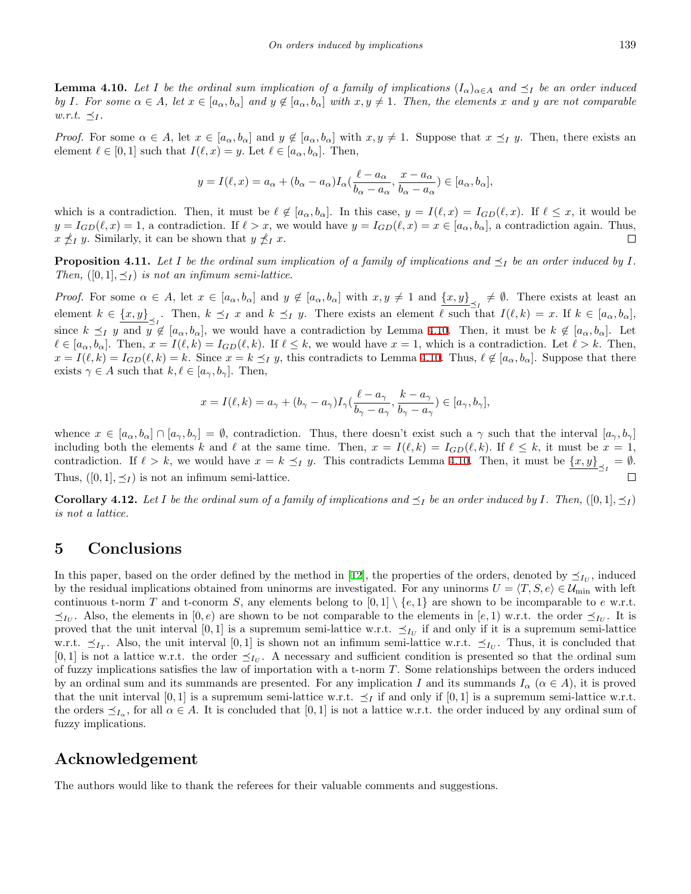**Lemma 4.10.** Let I be the ordinal sum implication of a family of implications  $(I_{\alpha})_{\alpha \in A}$  and  $\preceq_I$  be an order induced by I. For some  $\alpha \in A$ , let  $x \in [a_{\alpha}, b_{\alpha}]$  and  $y \notin [a_{\alpha}, b_{\alpha}]$  with  $x, y \neq 1$ . Then, the elements x and y are not comparable  $w.r.t. \preceq_I$ .

*Proof.* For some  $\alpha \in A$ , let  $x \in [a_{\alpha}, b_{\alpha}]$  and  $y \notin [a_{\alpha}, b_{\alpha}]$  with  $x, y \neq 1$ . Suppose that  $x \preceq_I y$ . Then, there exists an element  $\ell \in [0,1]$  such that  $I(\ell,x) = y$ . Let  $\ell \in [a_{\alpha},b_{\alpha}]$ . Then,

$$
y = I(\ell, x) = a_{\alpha} + (b_{\alpha} - a_{\alpha})I_{\alpha}(\frac{\ell - a_{\alpha}}{b_{\alpha} - a_{\alpha}}, \frac{x - a_{\alpha}}{b_{\alpha} - a_{\alpha}}) \in [a_{\alpha}, b_{\alpha}],
$$

which is a contradiction. Then, it must be  $\ell \notin [a_{\alpha}, b_{\alpha}]$ . In this case,  $y = I(\ell, x) = I_{GD}(\ell, x)$ . If  $\ell \leq x$ , it would be  $y = I_{GD}(\ell, x) = 1$ , a contradiction. If  $\ell > x$ , we would have  $y = I_{GD}(\ell, x) = x \in [a_\alpha, b_\alpha]$ , a contradiction again. Thus,  $x \nleq_I y$ . Similarly, it can be shown that  $y \nleq_I x$ .  $\Box$ 

**Proposition 4.11.** Let  $I$  be the ordinal sum implication of a family of implications and  $\preceq_I$  be an order induced by  $I$ . *Then,*  $([0, 1], \preceq_I)$  *is not an infimum semi-lattice.* 

*Proof.* For some  $\alpha \in A$ , let  $x \in [a_{\alpha}, b_{\alpha}]$  and  $y \notin [a_{\alpha}, b_{\alpha}]$  with  $x, y \neq 1$  and  $\{x, y\} \neq \emptyset$ . There exists at least an element  $k \in \{x, y\}$ , Then,  $k \preceq_I x$  and  $k \preceq_I y$ . There exists an element  $\ell$  such that  $I(\ell, k) = x$ . If  $k \in [a_\alpha, b_\alpha]$ , since  $k \preceq_I y$  and  $y \notin [a_\alpha, b_\alpha]$ , we would have a contradiction by Lemma [4.10](#page-11-2). Then, it must be  $k \notin [a_\alpha, b_\alpha]$ . Let  $\ell \in [a_{\alpha}, b_{\alpha}]$ . Then,  $x = I(\ell, k) = I_{GD}(\ell, k)$ . If  $\ell \leq k$ , we would have  $x = 1$ , which is a contradiction. Let  $\ell > k$ . Then,  $x = I(\ell, k) = I_{GD}(\ell, k) = k$ . Since  $x = k \leq_I y$ , this contradicts to Lemma [4.10.](#page-11-2) Thus,  $\ell \notin [a_{\alpha}, b_{\alpha}]$ . Suppose that there exists  $\gamma \in A$  such that  $k, \ell \in [a_{\gamma}, b_{\gamma}]$ . Then,

$$
x = I(\ell, k) = a_{\gamma} + (b_{\gamma} - a_{\gamma})I_{\gamma}(\frac{\ell - a_{\gamma}}{b_{\gamma} - a_{\gamma}}, \frac{k - a_{\gamma}}{b_{\gamma} - a_{\gamma}}) \in [a_{\gamma}, b_{\gamma}],
$$

whence  $x \in [a_{\alpha}, b_{\alpha}] \cap [a_{\gamma}, b_{\gamma}] = \emptyset$ , contradiction. Thus, there doesn't exist such a  $\gamma$  such that the interval  $[a_{\gamma}, b_{\gamma}]$ including both the elements *k* and  $\ell$  at the same time. Then,  $x = I(\ell, k) = I_{GD}(\ell, k)$ . If  $\ell \leq k$ , it must be  $x = 1$ , contradiction. If  $\ell > k$ , we would have  $x = k \leq I$  *y*. This contradicts Lemma [4.10.](#page-11-2) Then, it must be  $\{x, y\}_{\leq I} = \emptyset$ . Thus,  $([0, 1], \preceq_I)$  is not an infimum semi-lattice.  $\Box$ 

**Corollary 4.12.** Let I be the ordinal sum of a family of implications and  $\preceq_I$  be an order induced by I. Then,  $([0,1], \preceq_I)$ *is not a lattice.*

#### **5 Conclusions**

In this paper, based on the order defined by the method in [[12](#page-13-18)], the properties of the orders, denoted by  $\preceq_{I_U}$ , induced by the residual implications obtained from uninorms are investigated. For any uninorms  $U = \langle T, S, e \rangle \in \mathcal{U}_{\text{min}}$  with left continuous t-norm *T* and t-conorm *S*, any elements belong to  $[0,1] \setminus \{e,1\}$  are shown to be incomparable to *e* w.r.t.  $≤$ *I*<sup>*U*</sup>. Also, the elements in [0,*e*) are shown to be not comparable to the elements in [*e*, 1) w.r.t. the order  $≤$ *I*<sup>*U*</sup>. It is proved that the unit interval [0,1] is a supremum semi-lattice w.r.t.  $\preceq_{I_U}$  if and only if it is a supremum semi-lattice w.r.t.  $\leq$ <sub>*IT*</sub>. Also, the unit interval [0,1] is shown not an infimum semi-lattice w.r.t.  $\leq$ <sub>*IU*</sub>. Thus, it is concluded that  $[0,1]$  is not a lattice w.r.t. the order  $\preceq_{I_U}$ . A necessary and sufficient condition is presented so that the ordinal sum of fuzzy implications satisfies the law of importation with a t-norm *T*. Some relationships between the orders induced by an ordinal sum and its summands are presented. For any implication *I* and its summands  $I_\alpha$  ( $\alpha \in A$ ), it is proved that the unit interval [0, 1] is a supremum semi-lattice w.r.t.  $\preceq_I$  if and only if [0, 1] is a supremum semi-lattice w.r.t. the orders  $\preceq_{I_\alpha}$ , for all  $\alpha \in A$ . It is concluded that [0,1] is not a lattice w.r.t. the order induced by any ordinal sum of fuzzy implications.

#### **Acknowledgement**

The authors would like to thank the referees for their valuable comments and suggestions.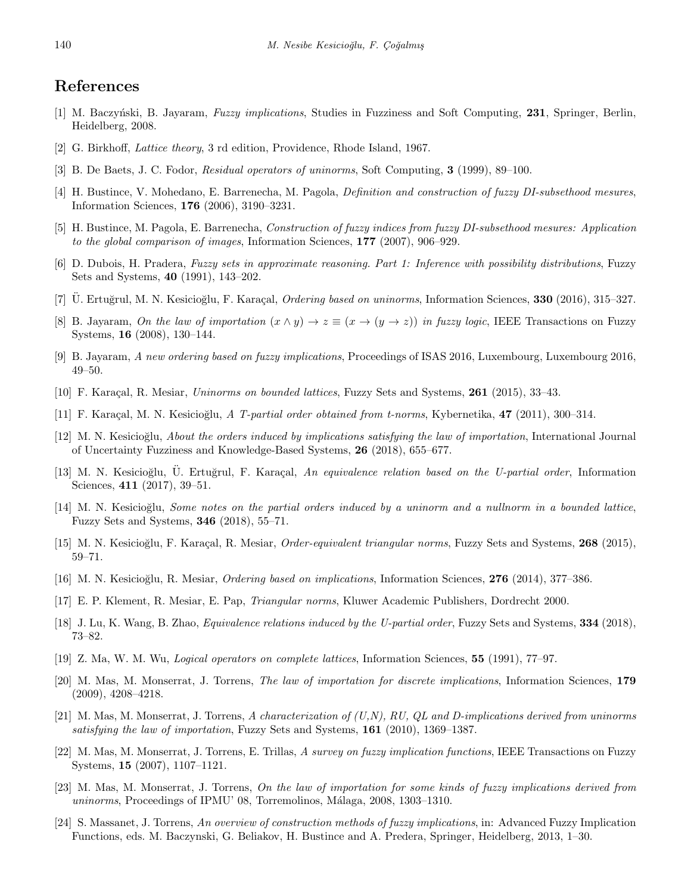# **References**

- <span id="page-13-0"></span>[1] M. Baczy´nski, B. Jayaram, *Fuzzy implications*, Studies in Fuzziness and Soft Computing, **231**, Springer, Berlin, Heidelberg, 2008.
- <span id="page-13-10"></span>[2] G. Birkhoff, *Lattice theory*, 3 rd edition, Providence, Rhode Island, 1967.
- <span id="page-13-23"></span>[3] B. De Baets, J. C. Fodor, *Residual operators of uninorms*, Soft Computing, **3** (1999), 89–100.
- <span id="page-13-5"></span>[4] H. Bustince, V. Mohedano, E. Barrenecha, M. Pagola, *Definition and construction of fuzzy DI-subsethood mesures*, Information Sciences, **176** (2006), 3190–3231.
- <span id="page-13-6"></span>[5] H. Bustince, M. Pagola, E. Barrenecha, *Construction of fuzzy indices from fuzzy DI-subsethood mesures: Application to the global comparison of images*, Information Sciences, **177** (2007), 906–929.
- <span id="page-13-1"></span>[6] D. Dubois, H. Pradera, *Fuzzy sets in approximate reasoning. Part 1: Inference with possibility distributions*, Fuzzy Sets and Systems, **40** (1991), 143–202.
- <span id="page-13-11"></span>[7] U. Ertuğrul, M. N. Kesicioğlu, F. Karaçal, *Ordering based on uninorms*, Information Sciences, **330** (2016), 315–327.
- <span id="page-13-2"></span>[8] B. Jayaram, *On the law of importation*  $(x \wedge y) \rightarrow z \equiv (x \rightarrow (y \rightarrow z))$  *in fuzzy logic*, IEEE Transactions on Fuzzy Systems, **16** (2008), 130–144.
- <span id="page-13-17"></span>[9] B. Jayaram, *A new ordering based on fuzzy implications*, Proceedings of ISAS 2016, Luxembourg, Luxembourg 2016, 49–50.
- <span id="page-13-19"></span>[10] F. Kara¸cal, R. Mesiar, *Uninorms on bounded lattices*, Fuzzy Sets and Systems, **261** (2015), 33–43.
- <span id="page-13-9"></span>[11] F. Karaçal, M. N. Kesicioğlu, *A T-partial order obtained from t-norms*, Kybernetika, **47** (2011), 300–314.
- <span id="page-13-18"></span>[12] M. N. Kesicioğlu, *About the orders induced by implications satisfying the law of importation*, International Journal of Uncertainty Fuzziness and Knowledge-Based Systems, **26** (2018), 655–677.
- <span id="page-13-12"></span>[13] M. N. Kesicioğlu, U. Ertuğrul, F. Karaçal, An equivalence relation based on the U-partial order, Information Sciences, **411** (2017), 39–51.
- <span id="page-13-13"></span>[14] M. N. Kesicioğlu, *Some notes on the partial orders induced by a uninorm and a nullnorm in a bounded lattice*, Fuzzy Sets and Systems, **346** (2018), 55–71.
- <span id="page-13-14"></span>[15] M. N. Kesicioğlu, F. Karaçal, R. Mesiar, *Order-equivalent triangular norms*, Fuzzy Sets and Systems, **268** (2015), 59–71.
- <span id="page-13-16"></span>[16] M. N. Kesicio˘glu, R. Mesiar, *Ordering based on implications*, Information Sciences, **276** (2014), 377–386.
- <span id="page-13-21"></span>[17] E. P. Klement, R. Mesiar, E. Pap, *Triangular norms*, Kluwer Academic Publishers, Dordrecht 2000.
- <span id="page-13-15"></span>[18] J. Lu, K. Wang, B. Zhao, *Equivalence relations induced by the U-partial order*, Fuzzy Sets and Systems, **334** (2018), 73–82.
- <span id="page-13-20"></span>[19] Z. Ma, W. M. Wu, *Logical operators on complete lattices*, Information Sciences, **55** (1991), 77–97.
- <span id="page-13-3"></span>[20] M. Mas, M. Monserrat, J. Torrens, *The law of importation for discrete implications*, Information Sciences, **179** (2009), 4208–4218.
- <span id="page-13-7"></span>[21] M. Mas, M. Monserrat, J. Torrens, *A characterization of (U,N), RU, QL and D-implications derived from uninorms satisfying the law of importation*, Fuzzy Sets and Systems, **161** (2010), 1369–1387.
- <span id="page-13-4"></span>[22] M. Mas, M. Monserrat, J. Torrens, E. Trillas, *A survey on fuzzy implication functions*, IEEE Transactions on Fuzzy Systems, **15** (2007), 1107–1121.
- <span id="page-13-8"></span>[23] M. Mas, M. Monserrat, J. Torrens, *On the law of importation for some kinds of fuzzy implications derived from uninorms*, Proceedings of IPMU' 08, Torremolinos, Málaga, 2008, 1303–1310.
- <span id="page-13-22"></span>[24] S. Massanet, J. Torrens, *An overview of construction methods of fuzzy implications*, in: Advanced Fuzzy Implication Functions, eds. M. Baczynski, G. Beliakov, H. Bustince and A. Predera, Springer, Heidelberg, 2013, 1–30.